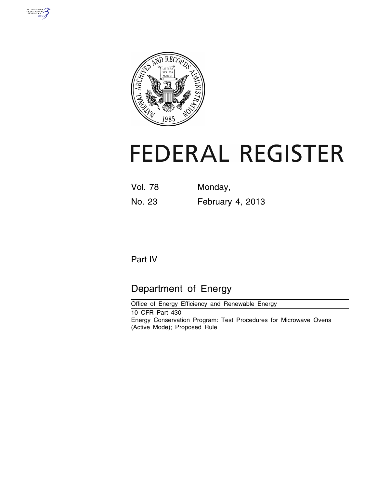



# **FEDERAL REGISTER**

| <b>Vol. 78</b> | Monday,          |
|----------------|------------------|
| No. 23         | February 4, 2013 |

# Part IV

# Department of Energy

Office of Energy Efficiency and Renewable Energy 10 CFR Part 430 Energy Conservation Program: Test Procedures for Microwave Ovens (Active Mode); Proposed Rule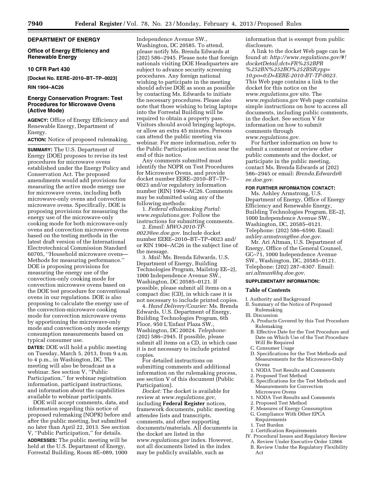# **DEPARTMENT OF ENERGY**

#### **Office of Energy Efficiency and Renewable Energy**

#### **10 CFR Part 430**

**[Docket No. EERE–2010–BT–TP–0023]** 

#### **RIN 1904–AC26**

# **Energy Conservation Program: Test Procedures for Microwave Ovens (Active Mode)**

**AGENCY:** Office of Energy Efficiency and Renewable Energy, Department of Energy.

## **ACTION:** Notice of proposed rulemaking.

**SUMMARY:** The U.S. Department of Energy (DOE) proposes to revise its test procedures for microwave ovens established under the Energy Policy and Conservation Act. The proposed amendments would add provisions for measuring the active mode energy use for microwave ovens, including both microwave-only ovens and convection microwave ovens. Specifically, DOE is proposing provisions for measuring the energy use of the microwave-only cooking mode for both microwave-only ovens and convection microwave ovens based on the testing methods in the latest draft version of the International Electrotechnical Commission Standard 60705, ''Household microwave ovens— Methods for measuring performance.'' DOE is proposing provisions for measuring the energy use of the convection-only cooking mode for convection microwave ovens based on the DOE test procedure for conventional ovens in our regulations. DOE is also proposing to calculate the energy use of the convection-microwave cooking mode for convection microwave ovens by apportioning the microwave-only mode and convection-only mode energy consumption measurements based on typical consumer use.

**DATES:** DOE will hold a public meeting on Tuesday, March 5, 2013, from 9 a.m. to 4 p.m., in Washington, DC. The meeting will also be broadcast as a webinar. See section V, ''Public Participation,'' for webinar registration information, participant instructions, and information about the capabilities available to webinar participants.

DOE will accept comments, data, and information regarding this notice of proposed rulemaking (NOPR) before and after the public meeting, but submitted no later than April 22, 2013. See section V, ''Public Participation,'' for details.

**ADDRESSES:** The public meeting will be held at the U.S. Department of Energy, Forrestal Building, Room 8E–089, 1000

Independence Avenue SW., Washington, DC 20585. To attend, please notify Ms. Brenda Edwards at (202) 586–2945. Please note that foreign nationals visiting DOE Headquarters are subject to advance security screening procedures. Any foreign national wishing to participate in the meeting should advise DOE as soon as possible by contacting Ms. Edwards to initiate the necessary procedures. Please also note that those wishing to bring laptops into the Forrestal Building will be required to obtain a property pass. Visitors should avoid bringing laptops, or allow an extra 45 minutes. Persons can attend the public meeting via webinar. For more information, refer to the Public Participation section near the end of this notice.

Any comments submitted must identify the NOPR on Test Procedures for Microwave Ovens, and provide docket number EERE–2010–BT–TP– 0023 and/or regulatory information number (RIN) 1904–AC26. Comments may be submitted using any of the following methods:

1. *Federal eRulemaking Portal: [www.regulations.gov.](http://www.regulations.gov)* Follow the instructions for submitting comments.

2. *Email: [MWO-2010-TP-](mailto:MWO-2010-TP-0023@ee.doe.gov)[0023@ee.doe.gov.](mailto:MWO-2010-TP-0023@ee.doe.gov)* Include docket number EERE–2010–BT–TP–0023 and/ or RIN 1904–AC26 in the subject line of the message.

3. *Mail:* Ms. Brenda Edwards, U.S. Department of Energy, Building Technologies Program, Mailstop EE–2J, 1000 Independence Avenue SW., Washington, DC 20585–0121. If possible, please submit all items on a compact disc (CD), in which case it is not necessary to include printed copies.

4. *Hand Delivery/Courier:* Ms. Brenda Edwards, U.S. Department of Energy, Building Technologies Program, 6th Floor, 950 L'Enfant Plaza SW., Washington, DC 20024. *Telephone:*  (202) 586–2945. If possible, please submit all items on a CD, in which case it is not necessary to include printed copies.

For detailed instructions on submitting comments and additional information on the rulemaking process, see section V of this document (Public Participation).

*Docket:* The docket is available for review at *[www.regulations.gov,](http://www.regulations.gov)*  including **Federal Register** notices, framework documents, public meeting attendee lists and transcripts, comments, and other supporting documents/materials. All documents in the docket are listed in the *[www.regulations.gov](http://www.regulations.gov)* index. However, not all documents listed in the index may be publicly available, such as

information that is exempt from public disclosure.

A link to the docket Web page can be found at: *[http://www.regulations.gov/#!](http://www.regulations.gov/#!docketDetail;dct=FR%252BPR%252BN%252BO%252BSR;rpp=10;po=0;D=EERE-2010-BT-TP-0023) [docketDetail;dct=FR%252BPR](http://www.regulations.gov/#!docketDetail;dct=FR%252BPR%252BN%252BO%252BSR;rpp=10;po=0;D=EERE-2010-BT-TP-0023) [%252BN%252BO%252BSR;rpp=](http://www.regulations.gov/#!docketDetail;dct=FR%252BPR%252BN%252BO%252BSR;rpp=10;po=0;D=EERE-2010-BT-TP-0023) [10;po=0;D=EERE-2010-BT-TP-0023.](http://www.regulations.gov/#!docketDetail;dct=FR%252BPR%252BN%252BO%252BSR;rpp=10;po=0;D=EERE-2010-BT-TP-0023)*  This Web page contains a link to the docket for this notice on the *[www.regulations.gov](http://www.regulations.gov)* site. The *[www.regulations.gov](http://www.regulations.gov)* Web page contains simple instructions on how to access all documents, including public comments, in the docket. See section V for information on how to submit comments through *[www.regulations.gov.](http://www.regulations.gov)* 

For further information on how to submit a comment or review other public comments and the docket, or participate in the public meeting, contact Ms. Brenda Edwards at (202) 586–2945 or email: *[Brenda.Edwards@](mailto:Brenda.Edwards@ee.doe.gov) [ee.doe.gov.](mailto:Brenda.Edwards@ee.doe.gov)* 

#### **FOR FURTHER INFORMATION CONTACT:**

Ms. Ashley Armstrong, U.S. Department of Energy, Office of Energy Efficiency and Renewable Energy, Building Technologies Program, EE–2J, 1000 Independence Avenue SW., Washington, DC, 20585–0121. Telephone: (202) 586–6590. Email: *[ashley.armstrong@ee.doe.gov](mailto:ashley.armstrong@ee.doe.gov)*.

Mr. Ari Altman, U.S. Department of Energy, Office of the General Counsel, GC–71, 1000 Independence Avenue SW., Washington, DC, 20585–0121. Telephone: (202) 287–6307. Email: *[ari.altman@hq.doe.gov](mailto:ari.altman@hq.doe.gov)*.

# **SUPPLEMENTARY INFORMATION:**

#### **Table of Contents**

I. Authority and Background

- II. Summary of the Notice of Proposed Rulemaking
- III. Discussion
- A. Products Covered by this Test Procedure Rulemaking
- B. Effective Date for the Test Procedure and Date on Which Use of the Test Procedure Will Be Required
- C. Consumer Usage
- D. Specifications for the Test Methods and Measurements for the Microwave-Only Ovens
- 1. NODA Test Results and Comments
- 2. Proposed Test Method
- E. Specifications for the Test Methods and Measurements for Convection Microwave Ovens
- 1. NODA Test Results and Comments
- 2. Proposed Test Method
- F. Measures of Energy Consumption
- G. Compliance With Other EPCA Requirements
- 1. Test Burden
- 2. Certification Requirements
- IV. Procedural Issues and Regulatory Review
- A. Review Under Executive Order 12866 B. Review Under the Regulatory Flexibility
- Act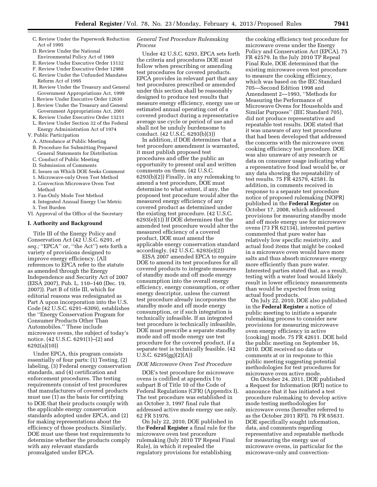- C. Review Under the Paperwork Reduction Act of 1995
- D. Review Under the National Environmental Policy Act of 1969
- E. Review Under Executive Order 13132
- F. Review Under Executive Order 12988
- G. Review Under the Unfunded Mandates Reform Act of 1995
- H. Review Under the Treasury and General Government Appropriations Act, 1999
- I. Review Under Executive Order 12630
- J. Review Under the Treasury and General Government Appropriations Act, 2001
- K. Review Under Executive Order 13211
- L. Review Under Section 32 of the Federal Energy Administration Act of 1974
- V. Public Participation
	- A. Attendance at Public Meeting
	- B. Procedure for Submitting Prepared General Statements for Distribution
	- C. Conduct of Public Meeting
	- D. Submission of Comments
	- E. Issues on Which DOE Seeks Comment
	- 1. Microwave-only Oven Test Method
	- 2. Convection Microwave Oven Test
	- Method
	- 3. Fan-Only Mode Test Method
- 4. Integrated Annual Energy Use Metric 5. Test Burden
- VI. Approval of the Office of the Secretary

#### **I. Authority and Background**

Title III of the Energy Policy and Conservation Act (42 U.S.C. 6291, *et seq.;* ''EPCA'' or, ''the Act'') sets forth a variety of provisions designed to improve energy efficiency. (All references to EPCA refer to the statute as amended through the Energy Independence and Security Act of 2007 (EISA 2007), Pub. L. 110–140 (Dec. 19, 2007)). Part B of title III, which for editorial reasons was redesignated as Part A upon incorporation into the U.S. Code (42 U.S.C. 6291–6309), establishes the ''Energy Conservation Program for Consumer Products Other Than Automobiles.'' These include microwave ovens, the subject of today's notice. (42 U.S.C. 6291(1)–(2) and 6292(a)(10))

Under EPCA, this program consists essentially of four parts: (1) Testing, (2) labeling, (3) Federal energy conservation standards, and (4) certification and enforcement procedures. The testing requirements consist of test procedures that manufacturers of covered products must use (1) as the basis for certifying to DOE that their products comply with the applicable energy conservation standards adopted under EPCA, and (2) for making representations about the efficiency of those products. Similarly, DOE must use these test requirements to determine whether the products comply with any relevant standards promulgated under EPCA.

# *General Test Procedure Rulemaking Process*

Under 42 U.S.C. 6293, EPCA sets forth the criteria and procedures DOE must follow when prescribing or amending test procedures for covered products. EPCA provides in relevant part that any test procedures prescribed or amended under this section shall be reasonably designed to produce test results that measure energy efficiency, energy use or estimated annual operating cost of a covered product during a representative average use cycle or period of use and shall not be unduly burdensome to conduct. (42 U.S.C. 6293(b)(3))

In addition, if DOE determines that a test procedure amendment is warranted, it must publish proposed test procedures and offer the public an opportunity to present oral and written comments on them. (42 U.S.C. 6293(b)(2)) Finally, in any rulemaking to amend a test procedure, DOE must determine to what extent, if any, the proposed test procedure would alter the measured energy efficiency of any covered product as determined under the existing test procedure. (42 U.S.C. 6293(e)(1)) If DOE determines that the amended test procedure would alter the measured efficiency of a covered product, DOE must amend the applicable energy conservation standard accordingly. (42 U.S.C. 6293(e)(2))

EISA 2007 amended EPCA to require DOE to amend its test procedures for all covered products to integrate measures of standby mode and off mode energy consumption into the overall energy efficiency, energy consumption, or other energy descriptor, unless the current test procedure already incorporates the standby mode and off mode energy consumption, or if such integration is technically infeasible. If an integrated test procedure is technically infeasible, DOE must prescribe a separate standby mode and off mode energy use test procedure for the covered product, if a separate test is technically feasible. (42 U.S.C. 6295(gg)(2)(A))

#### *DOE Microwave Oven Test Procedure*

DOE's test procedure for microwave ovens is codified at appendix I to subpart B of Title 10 of the Code of Federal Regulations (CFR) (Appendix I). The test procedure was established in an October 3, 1997 final rule that addressed active mode energy use only. 62 FR 51976.

On July 22, 2010, DOE published in the **Federal Register** a final rule for the microwave oven test procedure rulemaking (July 2010 TP Repeal Final Rule), in which it repealed the regulatory provisions for establishing

the cooking efficiency test procedure for microwave ovens under the Energy Policy and Conservation Act (EPCA). 75 FR 42579. In the July 2010 TP Repeal Final Rule, DOE determined that the existing microwave oven test procedure to measure the cooking efficiency, which was based on the IEC Standard 705—Second Edition 1998 and Amendment 2—1993, ''Methods for Measuring the Performance of Microwave Ovens for Households and Similar Purposes'' (IEC Standard 705), did not produce representative and repeatable test results. DOE stated that it was unaware of any test procedures that had been developed that addressed the concerns with the microwave oven cooking efficiency test procedure. DOE was also unaware of any research or data on consumer usage indicating what a representative food load would be, or any data showing the repeatability of test results. 75 FR 42579, 42581. In addition, in comments received in response to a separate test procedure notice of proposed rulemaking (NOPR) published in the **Federal Register** on October 17, 2008, which addressed provisions for measuring standby mode and off mode energy use for microwave ovens (73 FR 62134), interested parties commented that pure water has relatively low specific resistivity, and actual food items that might be cooked in a microwave oven would have more salts and thus absorb microwave energy more efficiently than pure water. Interested parties stated that, as a result, testing with a water load would likely result in lower efficiency measurements than would be expected from using actual food products.

On July 22, 2010, DOE also published in the **Federal Register** a notice of public meeting to initiate a separate rulemaking process to consider new provisions for measuring microwave oven energy efficiency in active (cooking) mode. 75 FR 42611. DOE held the public meeting on September 16, 2010. DOE received no data or comments at or in response to this public meeting suggesting potential methodologies for test procedures for microwave oven active mode.

On October 24, 2011, DOE published a Request for Information (RFI) notice to announce that it has initiated a test procedure rulemaking to develop active mode testing methodologies for microwave ovens (hereafter referred to as the October 2011 RFI). 76 FR 65631. DOE specifically sought information, data, and comments regarding representative and repeatable methods for measuring the energy use of microwave ovens, in particular for the microwave-only and convection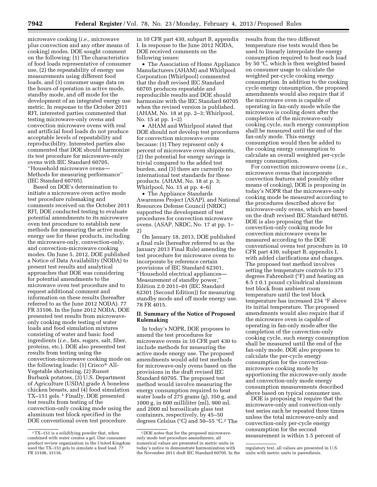microwave cooking (*i.e.,* microwave plus convection and any other means of cooking) modes. DOE sought comment on the following: (1) The characteristics of food loads representative of consumer use, (2) the repeatability of energy use measurements using different food loads, and (3) consumer usage data on the hours of operation in active mode, standby mode, and off mode for the development of an integrated energy use metric. In response to the October 2011 RFI, interested parties commented that testing microwave-only ovens and convection microwave ovens with real and artificial food loads do not produce acceptable levels of repeatability and reproducibility. Interested parties also commented that DOE should harmonize its test procedure for microwave-only ovens with IEC Standard 60705, ''Household microwave ovens— Methods for measuring performance'' (IEC Standard 60705).

Based on DOE's determination to initiate a microwave oven active mode test procedure rulemaking and comments received on the October 2011 RFI, DOE conducted testing to evaluate potential amendments to its microwave oven test procedure to establish new methods for measuring the active mode energy use for these products, including the microwave-only, convection-only, and convection-microwave cooking modes. On June 5, 2012, DOE published a Notice of Data Availability (NODA) to present test results and analytical approaches that DOE was considering for potential amendments to the microwave oven test procedure and to request additional comment and information on these results (hereafter referred to as the June 2012 NODA). 77 FR 33106. In the June 2012 NODA, DOE presented test results from microwaveonly cooking mode testing of water loads and food simulation mixtures consisting of water and basic food ingredients (*i.e.,* fats, sugars, salt, fiber, proteins, etc.). DOE also presented test results from testing using the convection-microwave cooking mode on the following loads: (1) Crisco® All-Vegetable shortening, (2) Russet Burbank potatoes, (3) U.S. Department of Agriculture (USDA) grade A boneless chicken breasts, and  $(4)$  food simulation TX–151 gels. 1 Finally, DOE presented test results from testing of the convection-only cooking mode using the aluminum test block specified in the DOE conventional oven test procedure

in 10 CFR part 430, subpart B, appendix I. In response to the June 2012 NODA, DOE received comments on the following issues:

• The Association of Home Appliance Manufacturers (AHAM) and Whirlpool Corporation (Whirlpool) commented that the draft revised IEC Standard 60705 produces repeatable and reproducible results and DOE should harmonize with the IEC Standard 60705 when the revised version is published. (AHAM, No. 18 at pp. 2–3; Whirlpool, No. 15 at pp. 1–2)

• AHAM and Whirlpool stated that DOE should not develop test procedures for convection microwave ovens because: (1) They represent only 4 percent of microwave oven shipments, (2) the potential for energy savings is trivial compared to the added test burden, and (3) there are currently no international test standards for these products. (AHAM, No. 18 at p. 3; Whirlpool, No. 15 at pp. 4–6)

• The Appliance Standards Awareness Project (ASAP), and National Resources Defense Council (NRDC) supported the development of test procedures for convection microwave ovens. (ASAP, NRDC, No. 17 at pp. 1– 2)

On January 18, 2013, DOE published a final rule (hereafter referred to as the January 2013 Final Rule) amending the test procedure for microwave ovens to incorporate by reference certain provisions of IEC Standard 62301, ''Household electrical appliances— Measurement of standby power,'' Edition 2.0 2011–01 (IEC Standard 62301 (Second Edition)) for measuring standby mode and off mode energy use. 78 FR 4015.

#### **II. Summary of the Notice of Proposed Rulemaking**

In today's NOPR, DOE proposes to amend the test procedures for microwave ovens in 10 CFR part 430 to include methods for measuring the active mode energy use. The proposed amendments would add test methods for microwave-only ovens based on the provisions in the draft revised IEC Standard 60705. The proposed test method would involve measuring the energy consumption required to heat water loads of 275 grams (g), 350 g, and 1000 g, in 600 milliliter (ml), 900 ml, and 2000 ml borosilicate glass test containers, respectively, by 45–50 degrees Celsius (°C) and 50–55 °C.2 The results from the two different temperature rise tests would then be used to linearly interpolate the energy consumption required to heat each load by 50 °C, which is then weighted based on consumer usage to calculate the weighted per-cycle cooking energy consumption. In addition to the cooking cycle energy consumption, the proposed amendments would also require that if the microwave oven is capable of operating in fan-only mode while the microwave is cooling down after the completion of the microwave-only cooking cycle, such energy consumption shall be measured until the end of the fan-only mode. This energy consumption would then be added to the cooking energy consumption to calculate an overall weighted per-cycle energy consumption.

For convection microwave ovens (*i.e.,*  microwave ovens that incorporate convection features and possibly other means of cooking), DOE is proposing in today's NOPR that the microwave-only cooking mode be measured according to the procedures described above for microwave-only ovens, which are based on the draft revised IEC Standard 60705. DOE is also proposing that the convection-only cooking mode for convection microwave ovens be measured according to the DOE conventional ovens test procedure in 10 CFR part 430, subpart B, appendix I, with added clarifications and changes. The proposed test method involves setting the temperature controls to 375 degrees Fahrenheit (°F) and heating an  $8.5 \pm 0.1$  pound cylindrical aluminum test block from ambient room temperature until the test block temperature has increased 234 °F above its initial temperature. The proposed amendments would also require that if the microwave oven is capable of operating in fan-only mode after the completion of the convection-only cooking cycle, such energy consumption shall be measured until the end of the fan-only mode. DOE also proposes to calculate the per-cycle energy consumption for the convectionmicrowave cooking mode by apportioning the microwave-only mode and convection-only mode energy consumption measurements described above based on typical consumer use.

DOE is proposing to require that the microwave-only and convection-only test series each be repeated three times unless the total microwave-only and convection-only per-cycle energy consumption for the second measurement is within 1.5 percent of

<sup>1</sup>TX–151 is a solidifying powder that, when combined with water creates a gel. One consumer product review organization in the United Kingdom used the TX–151 gels to simulate a food load. 77 FR 33106, 33116.

<sup>2</sup> DOE notes that for the proposed microwaveonly mode test procedure amendments, all numerical values are presented in metric units in today's notice to demonstrate harmonization with the November 2011 draft IEC Standard 60705. In the

regulatory text, all values are presented in U.S. units with metric units in parenthesis.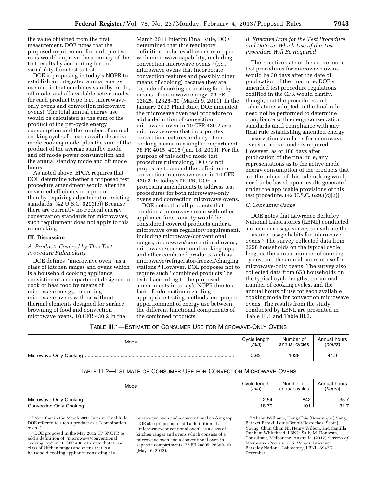the value obtained from the first measurement. DOE notes that the proposed requirement for multiple test runs would improve the accuracy of the test results by accounting for the variability from test to test.

DOE is proposing in today's NOPR to establish an integrated annual energy use metric that combines standby mode, off mode, and all available active modes for each product type (*i.e.,* microwaveonly ovens and convection microwave ovens). The total annual energy use would be calculated as the sum of the product of the per-cycle energy consumption and the number of annual cooking cycles for each available active mode cooking mode, plus the sum of the product of the average standby mode and off mode power consumption and the annual standby mode and off mode hours.

As noted above, EPCA requires that DOE determine whether a proposed test procedure amendment would alter the measured efficiency of a product, thereby requiring adjustment of existing standards. (42 U.S.C. 6293(e)) Because there are currently no Federal energy conservation standards for microwaves, such requirement does not apply to this rulemaking.

#### **III. Discussion**

# *A. Products Covered by This Test Procedure Rulemaking*

DOE defines ''microwave oven'' as a class of kitchen ranges and ovens which is a household cooking appliance consisting of a compartment designed to cook or heat food by means of microwave energy, including microwave ovens with or without thermal elements designed for surface browning of food and convection microwave ovens. 10 CFR 430.2 In the

March 2011 Interim Final Rule, DOE determined that this regulatory definition includes all ovens equipped with microwave capability, including convection microwave ovens 3 (*i.e.,*  microwave ovens that incorporate convection features and possibly other means of cooking) because they are capable of cooking or heating food by means of microwave energy. 76 FR 12825, 12828–30 (March 9, 2011). In the January 2013 Final Rule, DOE amended the microwave oven test procedure to add a definition of convection microwave oven in 10 CFR 430.2 as a microwave oven that incorporates convection features and any other cooking means in a single compartment. 78 FR 4015, 4018 (Jan. 18, 2013). For the purpose of this active mode test procedure rulemaking, DOE is not proposing to amend the definition of convection microwave oven in 10 CFR 430.2. In today's NOPR, DOE is proposing amendments to address test procedures for both microwave-only ovens and convection microwave ovens.

DOE notes that all products that combine a microwave oven with other appliance functionality would be considered covered products under a microwave oven regulatory requirement, including microwave/conventional ranges, microwave/conventional ovens, microwave/conventional cooking tops, and other combined products such as microwave/refrigerator-freezer/charging stations.4 However, DOE proposes not to require such ''combined products'' be tested according to the proposed amendments in today's NOPR due to a lack of information regarding appropriate testing methods and proper apportionment of energy use between the different functional components of the combined products.

## *B. Effective Date for the Test Procedure and Date on Which Use of the Test Procedure Will Be Required*

The effective date of the active mode test procedures for microwave ovens would be 30 days after the date of publication of the final rule. DOE's amended test procedure regulations codified in the CFR would clarify, though, that the procedures and calculations adopted in the final rule need not be performed to determine compliance with energy conservation standards until compliance with any final rule establishing amended energy conservation standards for microwave ovens in active mode is required. However, as of 180 days after publication of the final rule, any representations as to the active mode energy consumption of the products that are the subject of this rulemaking would need to be based upon results generated under the applicable provisions of this test procedure. (42 U.S.C. 6293(c)(2))

## *C. Consumer Usage*

DOE notes that Lawrence Berkeley National Laboratories (LBNL) conducted a consumer usage survey to evaluate the consumer usage habits for microwave ovens.5 The survey collected data from 2258 households on the typical cycle lengths, the annual number of cooking cycles, and the annual hours of use for microwave-only ovens. The survey also collected data from 653 households on the typical cycle lengths, the annual number of cooking cycles, and the annual hours of use for each available cooking mode for convection microwave ovens. The results from the study conducted by LBNL are presented in Table III.1 and Table III.2.

TABLE III.1—ESTIMATE OF CONSUMER USE FOR MICROWAVE-ONLY OVENS

| Mode | Cycle length | Number of     | Annual hours |
|------|--------------|---------------|--------------|
|      | (min)        | annual cycles | (hours)      |
|      | 2.62         | 1026          | 44.9         |

## TABLE III.2—ESTIMATE OF CONSUMER USE FOR CONVECTION MICROWAVE OVENS

| Mode | Cycle length | Number of     | Annual hours |
|------|--------------|---------------|--------------|
|      | (min)        | annual cycles | (hours)      |
|      | 2.54         | 842           | 35.7         |
|      | 18.70        | 101           | 31.7         |

3Note that in the March 2011 Interim Final Rule, DOE referred to such a product as a ''combination oven.''

4 DOE proposed in the May 2012 TP SNOPR to add a definition of ''microwave/conventional cooking top'' in 10 CFR 430.2 to state that it is a class of kitchen ranges and ovens that is a household cooking appliance consisting of a

microwave oven and a conventional cooking top. DOE also proposed to add a definition of a ''microwave/conventional oven'' as a class of kitchen ranges and ovens which consists of a microwave oven and a conventional oven in separate compartments. 77 FR 28805, 28809–10 (May 16, 2012).

5Alison Williams, Hung-Chia (Dominique) Yang, Bereket Beraki, Louis-Benoit Desroches, Scott J. Young, Chun Chun Ni, Henry Willem, and Camilla Dunham Whitehead: LBNL; Sally M. Donovan, Consultant, Melbourne, Australia. (2012) *Surveys of Microwave Ovens in U.S. Homes.* Lawrence Berkeley National Laboratory, LBNL–5947E. December.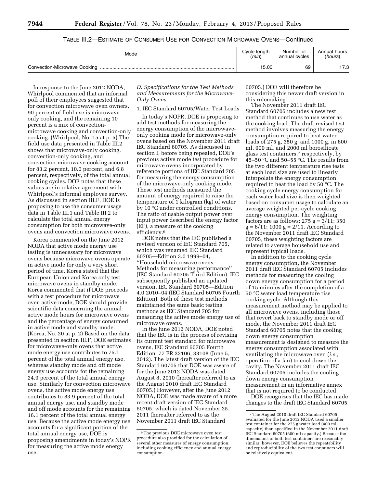# TABLE III.2—ESTIMATE OF CONSUMER USE FOR CONVECTION MICROWAVE OVENS—Continued

| Mode                         | Cycle length | Number of     | Annual hours |
|------------------------------|--------------|---------------|--------------|
|                              | (min)        | annual cycles | (hours)      |
| Convection-Microwave Cooking | 15.00        | 69            | '7.3         |

In response to the June 2012 NODA, Whirlpool commented that an informal poll of their employees suggested that for convection microwave oven owners, 90 percent of field use is microwaveonly cooking, and the remaining 10 percent is a mix of convectionmicrowave cooking and convection-only cooking. (Whirlpool, No. 15 at p. 5) The field use data presented in Table III.2 shows that microwave-only cooking, convection-only cooking, and convection-microwave cooking account for 83.2 percent, 10.0 percent, and 6.8 percent, respectively, of the total annual cooking cycles. DOE notes that these values are in relative agreement with Whirlpool's informal employee survey. As discussed in section III.F, DOE is proposing to use the consumer usage data in Table III.1 and Table III.2 to calculate the total annual energy consumption for both microwave-only ovens and convection microwave ovens.

Korea commented on the June 2012 NODA that active mode energy use testing is unnecessary for microwave ovens because microwave ovens operate in active mode for only a very short period of time. Korea stated that the European Union and Korea only test microwave ovens in standby mode. Korea commented that if DOE proceeds with a test procedure for microwave oven active mode, DOE should provide scientific data concerning the annual active mode hours for microwave ovens and the percentage of energy consumed in active mode and standby mode. (Korea, No. 20 at p. 2) Based on the data presented in section III.F, DOE estimates for microwave-only ovens that active mode energy use contributes to 75.1 percent of the total annual energy use, whereas standby mode and off mode energy use accounts for the remaining 24.9 percent of the total annual energy use. Similarly for convection microwave ovens, the active mode energy use contributes to 83.9 percent of the total annual energy use, and standby mode and off mode accounts for the remaining 16.1 percent of the total annual energy use. Because the active mode energy use accounts for a significant portion of the total annual energy use, DOE is proposing amendments in today's NOPR for measuring the active mode energy use.

# *D. Specifications for the Test Methods and Measurements for the Microwave-Only Ovens*

1. IEC Standard 60705/Water Test Loads

In today's NOPR, DOE is proposing to add test methods for measuring the energy consumption of the microwaveonly cooking mode for microwave-only ovens based on the November 2011 draft IEC Standard 60705. As discussed in section I, before being repealed, DOE's previous active mode test procedure for microwave ovens incorporated by reference portions of IEC Standard 705 for measuring the energy consumption of the microwave-only cooking mode. These test methods measured the amount of energy required to raise the temperature of 1 kilogram (kg) of water by 10 °C under controlled conditions. The ratio of usable output power over input power described the energy factor (EF), a measure of the cooking efficiency.6

DOE notes that the IEC published a revised version of IEC Standard 705, which was renamed IEC Standard 60705—Edition 3.0 1999–04, ''Household microwave ovens— Methods for measuring performance'' (IEC Standard 60705 Third Edition). IEC subsequently published an updated version, IEC Standard 60705—Edition 4.0 2010–04 (IEC Standard 60705 Fourth Edition). Both of these test methods maintained the same basic testing methods as IEC Standard 705 for measuring the active mode energy use of microwave ovens.

In the June 2012 NODA, DOE noted that the IEC is in the process of revising its current test standard for microwave ovens, IEC Standard 60705 Fourth Edition. 77 FR 33106, 33108 (June 5, 2012). The latest draft version of the IEC Standard 60705 that DOE was aware of for the June 2012 NODA was dated August 8, 2010 (hereafter referred to as the August 2010 draft IEC Standard 60705.) However, after the June 2012 NODA, DOE was made aware of a more recent draft version of IEC Standard 60705, which is dated November 25, 2011 (hereafter referred to as the November 2011 draft IEC Standard

60705.) DOE will therefore be considering this newer draft version in this rulemaking.

The November 2011 draft IEC Standard 60705 includes a new test method that continues to use water as the cooking load. The draft revised test method involves measuring the energy consumption required to heat water loads of 275 g, 350 g, and 1000 g, in 600 ml, 900 ml, and 2000 ml borosilicate glass test containers,7 respectively, by 45–50 °C and 50–55 °C. The results from the two different temperature rise tests at each load size are used to linearly interpolate the energy consumption required to heat the load by 50 °C. The cooking cycle energy consumption for each water load size is then weighted based on consumer usage to calculate an average weighted per-cycle cooking energy consumption. The weighting factors are as follows:  $275 g = 3/11$ ;  $350$  $g = 6/11$ ; 1000  $g = 2/11$ . According to the November 2011 draft IEC Standard 60705, these weighting factors are related to average household use and represent typical loads.

In addition to the cooking cycle energy consumption, the November 2011 draft IEC Standard 60705 includes methods for measuring the cooling down energy consumption for a period of 15 minutes after the completion of a 50 °C water load temperature rise cooking cycle. Although this measurement method may be applied to all microwave ovens, including those that revert back to standby mode or off mode, the November 2011 draft IEC Standard 60705 notes that the cooling down energy consumption measurement is designed to measure the energy consumption associated with ventilating the microwave oven (*i.e.,*  operation of a fan) to cool down the cavity. The November 2011 draft IEC Standard 60705 includes the cooling down energy consumption measurement in an informative annex that is not required to be conducted.

DOE recognizes that the IEC has made changes to the draft IEC Standard 60705

<sup>6</sup>The previous DOE microwave oven test procedure also provided for the calculation of several other measures of energy consumption, including cooking efficiency and annual energy consumption.

<sup>7</sup>The August 2010 draft IEC Standard 60705 evaluated for the June 2012 NODA used a smaller test container for the 275 g water load (400 ml capacity) than specified in the November 2011 draft IEC Standard 60705 (600 ml capacity.) Because the dimensions of both test containers are reasonably similar, however, DOE believes the repeatability and reproducibility of the two test containers will be relatively equivalent.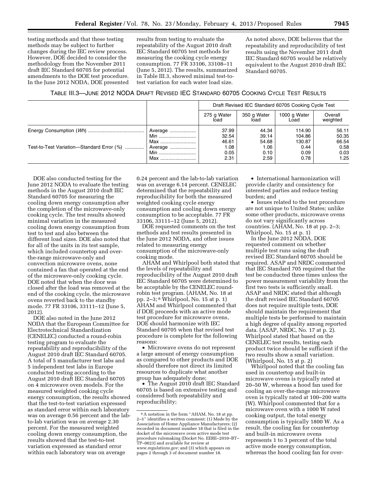testing methods and that these testing methods may be subject to further changes during the IEC review process. However, DOE decided to consider the methodology from the November 2011 draft IEC Standard 60705 for potential amendments to the DOE test procedure. In the June 2012 NODA, DOE presented

results from testing to evaluate the repeatability of the August 2010 draft IEC Standard 60705 test methods for measuring the cooking cycle energy consumption. 77 FR 33106, 33108–11 (June 5, 2012). The results, summarized in Table III.3, showed minimal test-totest variation for each water load size.

As noted above, DOE believes that the repeatability and reproducibility of test results using the November 2011 draft IEC Standard 60705 would be relatively equivalent to the August 2010 draft IEC Standard 60705.

TABLE III.3—JUNE 2012 NODA DRAFT REVISED IEC STANDARD 60705 COOKING CYCLE TEST RESULTS

|                                           |         | Draft Revised IEC Standard 60705 Cooking Cycle Test |                     |                      |                     |
|-------------------------------------------|---------|-----------------------------------------------------|---------------------|----------------------|---------------------|
|                                           |         | 275 g Water<br>load                                 | 350 g Water<br>load | 1000 g Water<br>Load | Overall<br>weighted |
|                                           | Average | 37.99                                               | 44.34               | 114.90               | 56.11               |
|                                           | Min     | 32.54                                               | 39.14               | 104.86               | 50.35               |
|                                           | Max     | 46.61                                               | 54.68               | 130.87               | 66.54               |
| Test-to-Test Variation-Standard Error (%) | Average | 1.08                                                | 1.06                | 0.44                 | 0.58                |
|                                           | Min     | 0.05                                                | 0.10                | 0.09                 | 0.03                |
|                                           | Max     | 2.31                                                | 2.59                | 0.78                 | 1.25                |

DOE also conducted testing for the June 2012 NODA to evaluate the testing methods in the August 2010 draft IEC Standard 60705 for measuring the cooling down energy consumption after the completion of the microwave-only cooking cycle. The test results showed minimal variation in the measured cooling down energy consumption from test to test and also between the different load sizes. DOE also noted that for all of the units in its test sample, which included countertop and overthe-range microwave-only and convection microwave ovens, none contained a fan that operated at the end of the microwave-only cooking cycle. DOE noted that when the door was closed after the load was removed at the end of the cooking cycle, the microwave ovens reverted back to the standby mode. 77 FR 33106, 33111–12 (June 5, 2012).

DOE also noted in the June 2012 NODA that the European Committee for Electrotechnical Standardization (CENELEC) conducted a round-robin testing program to evaluate the repeatability and reproducibility of the August 2010 draft IEC Standard 60705. A total of 5 manufacturer test labs and 5 independent test labs in Europe conducted testing according to the August 2010 draft IEC Standard 60705 on 4 microwave oven models. For the measured weighted cooking cycle energy consumption, the results showed that the test-to-test variation expressed as standard error within each laboratory was on average 0.56 percent and the labto-lab variation was on average 2.30 percent. For the measured weighted cooling down energy consumption, the results showed that the test-to-test variation expressed as standard error within each laboratory was on average

0.24 percent and the lab-to-lab variation was on average 6.14 percent. CENELEC determined that the repeatability and reproducibility for both the measured weighted cooking cycle energy consumption and cooling down energy consumption to be acceptable. 77 FR 33106, 33111–12 (June 5, 2012).

DOE requested comments on the test methods and test results presented in the June 2012 NODA, and other issues related to measuring energy consumption of the microwave-only cooking mode.

AHAM and Whirlpool both stated that the levels of repeatability and reproducibility of the August 2010 draft IEC Standard 60705 were determined to be acceptable by the CENELEC roundrobin test program. (AHAM, No. 18 at pp. 2–3; 8 Whirlpool, No. 15 at p. 1) AHAM and Whirlpool commented that if DOE proceeds with an active mode test procedure for microwave ovens, DOE should harmonize with IEC Standard 60705 when that revised test procedure is complete for the following reasons:

• Microwave ovens do not represent a large amount of energy consumption as compared to other products and DOE should therefore not direct its limited resources to duplicate what another group has adequately done;

• The August 2010 draft IEC Standard 60705 is based on extensive testing and considered both repeatability and reproducibility;

• International harmonization will provide clarity and consistency for interested parties and reduce testing burden; and

• Issues related to the test procedure are not unique to United States; unlike some other products, microwave ovens do not vary significantly across countries. (AHAM, No. 18 at pp. 2–3; Whirlpool, No. 15 at p. 1)

In the June 2012 NODA, DOE requested comment on whether multiple test runs using the draft revised IEC Standard 60705 should be required. ASAP and NRDC commented that IEC Standard 705 required that the test be conducted three times unless the power measurement variability from the first two tests is sufficiently small. ASAP and NRDC stated that although the draft revised IEC Standard 60705 does not require multiple tests, DOE should maintain the requirement that multiple tests be performed to maintain a high degree of quality among reported data. (ASAP, NRDC, No. 17 at p. 2). Whirlpool stated that based on the CENELEC test results, testing each product twice should be sufficient if the two results show a small variation. (Whirlpool, No. 15 at p. 2)

Whirlpool noted that the cooling fan used in countertop and built-in microwave ovens is typically rated at 20–50 W, whereas a hood fan used for cooling an over-the-range microwave oven is typically rated at 100–200 watts (W). Whirlpool commented that for a microwave oven with a 1000 W rated cooking output, the total energy consumption is typically 1800 W. As a result, the cooling fan for countertop and built-in microwave ovens represents 1 to 3 percent of the total active mode energy consumption, whereas the hood cooling fan for over-

<sup>8</sup>A notation in the form ''AHAM, No. 18 at pp. 2–3'' identifies a written comment: (1) Made by the Association of Home Appliance Manufacturers; (2) recorded in document number 18 that is filed in the docket of the microwave oven active mode test procedure rulemaking (Docket No. EERE–2010–BT– TP–0023) and available for review at *[www.regulations.gov;](http://www.regulations.gov)* and (3) which appears on pages 2 through 3 of document number 18.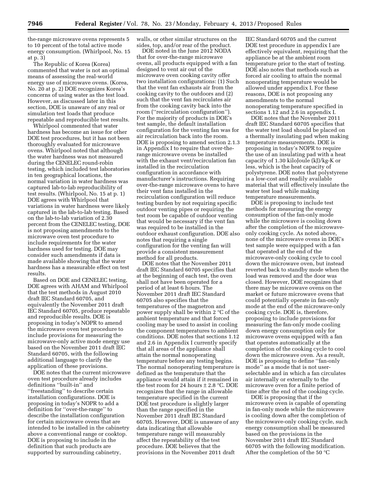the-range microwave ovens represents 5 to 10 percent of the total active mode energy consumption. (Whirlpool, No. 15 at p. 3)

The Republic of Korea (Korea) commented that water is not an optimal means of assessing the real-world energy use of microwave ovens. (Korea, No. 20 at p. 2) DOE recognizes Korea's concerns of using water as the test load. However, as discussed later in this section, DOE is unaware of any real or simulation test loads that produce repeatable and reproducible test results.

Whirlpool commented that water hardness has become an issue for other DOE test procedures, but it has not been thoroughly evaluated for microwave ovens. Whirlpool noted that although the water hardness was not measured during the CENELEC round-robin testing, which included test laboratories in ten geographical locations, the normal variation in water hardness was captured lab-to-lab reproducibility of test results. (Whirlpool, No. 15 at p. 1) DOE agrees with Whirlpool that variations in water hardness were likely captured in the lab-to-lab testing. Based on the lab-to-lab variation of 2.30 percent from the CENELEC testing, DOE is not proposing amendments to the microwave oven test procedure to include requirements for the water hardness used for testing. DOE may consider such amendments if data is made available showing that the water hardness has a measurable effect on test results.

Based on DOE and CENELEC testing, DOE agrees with AHAM and Whirlpool that the test methods in August 2010 draft IEC Standard 60705, and equivalently the November 2011 draft IEC Standard 60705, produce repeatable and reproducible results. DOE is proposing in today's NOPR to amend the microwave oven test procedure to include provisions for measuring the microwave-only active mode energy use based on the November 2011 draft IEC Standard 60705, with the following additional language to clarify the application of these provisions.

DOE notes that the current microwave oven test procedure already includes definitions ''built-in'' and ''freestanding'' to describe certain installation configurations. DOE is proposing in today's NOPR to add a definition for ''over-the-range'' to describe the installation configuration for certain microwave ovens that are intended to be installed in the cabinetry above a conventional range or cooktop. DOE is proposing to include in the definition that such products are supported by surrounding cabinetry,

walls, or other similar structures on the sides, top, and/or rear of the product.

DOE noted in the June 2012 NODA that for over-the-range microwave ovens, all products equipped with a fan designed to vent air out of the microwave oven cooking cavity offer two installation configurations: (1) Such that the vent fan exhausts air from the cooking cavity to the outdoors and (2) such that the vent fan recirculates air from the cooking cavity back into the room (''recirculation configuration''). For the majority of products in DOE's test sample, the default installation configuration for the venting fan was for air recirculation back into the room. DOE is proposing to amend section 2.1.3 in Appendix I to require that over-therange microwave ovens be installed with the exhaust vent/recirculation fan installed in the recirculation configuration in accordance with manufacturer's instructions. Requiring over-the-range microwave ovens to have their vent fans installed in the recirculation configuration will reduce testing burden by not requiring specific outdoor venting pipes or requiring the test room be capable of outdoor venting that would be necessary if the vent fan was required to be installed in the outdoor exhaust configuration. DOE also notes that requiring a single configuration for the venting fan will provide a consistent measurement method for all products.

DOE notes that the November 2011 draft IEC Standard 60705 specifies that at the beginning of each test, the oven shall not have been operated for a period of at least 6 hours. The November 2011 draft IEC Standard 60705 also specifies that the temperatures of the magnetron and power supply shall be within 2 °C of the ambient temperature and that forced cooling may be used to assist in cooling the component temperatures to ambient conditions. DOE notes that sections 1.12 and 2.6 in Appendix I currently specify that all areas of the appliance shall attain the normal nonoperating temperature before any testing begins. The normal nonoperating temperature is defined as the temperature that the appliance would attain if it remained in the test room for 24 hours  $\pm 2.8$  °C. DOE recognizes that the range in allowable temperature specified in the current DOE test procedure is slightly larger than the range specified in the November 2011 draft IEC Standard 60705. However, DOE is unaware of any data indicating that allowable temperature range will measurably affect the repeatability of the test procedure. DOE believes that the provisions in the November 2011 draft

IEC Standard 60705 and the current DOE test procedure in appendix I are effectively equivalent, requiring that the appliance be at the ambient room temperature prior to the start of testing. DOE also notes that methods such as forced air cooling to attain the normal nonoperating temperature would be allowed under appendix I. For these reasons, DOE is not proposing any amendments to the normal nonoperating temperature specified in sections 1.12 and 2.6 in appendix I.

DOE notes that the November 2011 draft IEC Standard 60705 specifies that the water test load should be placed on a thermally insulating pad when making temperature measurements. DOE is proposing in today's NOPR to require the use of an insulating pad with a heat capacity of 1.30 kiloJoule (kJ)/kg-K or less, which is the heat capacity of polystyrene. DOE notes that polystyrene is a low-cost and readily available material that will effectively insulate the water test load while making temperature measurements.

DOE is proposing to include test methods for measuring the energy consumption of the fan-only mode while the microwave is cooling down after the completion of the microwaveonly cooking cycle. As noted above, none of the microwave ovens in DOE's test sample were equipped with a fan that operated at the end of the microwave-only cooking cycle to cool down the microwave oven, but instead reverted back to standby mode when the load was removed and the door was closed. However, DOE recognizes that there may be microwave ovens on the market or future microwave ovens that could potentially operate in fan-only mode at the end of the microwave-only cooking cycle. DOE is, therefore, proposing to include provisions for measuring the fan-only mode cooling down energy consumption only for microwave ovens equipped with a fan that operates automatically at the completion of the cooking cycle to cool down the microwave oven. As a result, DOE is proposing to define ''fan-only mode'' as a mode that is not userselectable and in which a fan circulates air internally or externally to the microwave oven for a finite period of time after the end of the cooking cycle.

DOE is proposing that if the microwave oven is capable of operating in fan-only mode while the microwave is cooling down after the completion of the microwave-only cooking cycle, such energy consumption shall be measured based on the provisions in the November 2011 draft IEC Standard 60705 with the following modification. After the completion of the 50 °C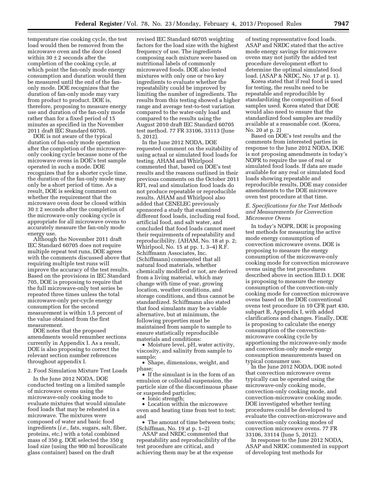temperature rise cooking cycle, the test load would then be removed from the microwave oven and the door closed within 30  $\pm$  2 seconds after the completion of the cooking cycle, at which point the fan-only mode energy consumption and duration would then be measured until the end of the fanonly mode. DOE recognizes that the duration of fan-only mode may vary from product to product. DOE is, therefore, proposing to measure energy use and duration of the fan-only mode rather than for a fixed period of 15 minutes as specified in the November 2011 draft IEC Standard 60705.

DOE is not aware of the typical duration of fan-only mode operation after the completion of the microwaveonly cooking cycle because none of the microwave ovens in DOE's test sample operated in such a mode. DOE recognizes that for a shorter cycle time, the duration of the fan-only mode may only be a short period of time. As a result, DOE is seeking comment on whether the requirement that the microwave oven door be closed within  $30 \pm 2$  seconds after the completion of the microwave-only cooking cycle is appropriate for all microwave ovens to accurately measure the fan-only mode energy use.

Although the November 2011 draft IEC Standard 60705 does not require multiple repeat test runs, DOE agrees with the comments discussed above that requiring multiple test runs will improve the accuracy of the test results. Based on the provisions in IEC Standard 705, DOE is proposing to require that the full microwave-only test series be repeated three times unless the total microwave-only per-cycle energy consumption for the second measurement is within 1.5 percent of the value obtained from the first measurement.

DOE notes that the proposed amendments would renumber sections currently in Appendix I. As a result, DOE is also proposing to correct the relevant section number references throughout appendix I.

2. Food Simulation Mixture Test Loads

In the June 2012 NODA, DOE conducted testing on a limited sample of microwave ovens using the microwave-only cooking mode to evaluate mixtures that would simulate food loads that may be reheated in a microwave. The mixtures were composed of water and basic food ingredients (*i.e.,* fats, sugars, salt, fiber, proteins, etc.) with a total combined mass of 350 g. DOE selected the 350 g load size (using the 900 ml borosilicate glass container) based on the draft

revised IEC Standard 60705 weighting factors for the load size with the highest frequency of use. The ingredients composing each mixture were based on nutritional labels of commonly microwaved foods. DOE also tested mixtures with only one or two key ingredients to evaluate whether the repeatability could be improved by limiting the number of ingredients. The results from this testing showed a higher range and average test-to-test variation compared to the water-only load and compared to the results using the August 2010 draft IEC Standard 60705 test method. 77 FR 33106, 33113 (June 5, 2012).

In the June 2012 NODA, DOE requested comment on the suitability of using actual or simulated food loads for testing. AHAM and Whirlpool commented that, based on DOE's test results and the reasons outlined in their previous comments on the October 2011 RFI, real and simulation food loads do not produce repeatable or reproducible results. AHAM and Whirlpool also added that CENELEC previously sponsored a study that examined different food loads, including real food, artificial food, and salt water, and concluded that food loads cannot meet their requirements of repeatability and reproducibility. (AHAM, No. 18 at p. 2; Whirlpool, No. 15 at pp. 1, 3–4) R.F. Schiffmann Associates, Inc. (Schiffmann) commented that all natural food materials, whether chemically modified or not, are derived from a living material, which may change with time of year, growing location, weather conditions, and storage conditions, and thus cannot be standardized. Schiffmann also stated that food simulants may be a viable alternative, but at minimum, the following properties must be maintained from sample to sample to ensure statistically reproducible materials and conditions:

• Moisture level, pH, water activity, viscosity, and salinity from sample to sample;

• Shape, dimensions, weight, and phase;

• If the simulant is in the form of an emulsion or colloidal suspension, the particle size of the discontinuous phase or suspended particles;

• Ionic strength;

• Location within the microwave oven and heating time from test to test; and

• The amount of time between tests; (Schiffman, No. 19 at p. 1–2)

ASAP and NRDC commented that repeatability and reproducibility of the test procedure are critical, and achieving them may be at the expense

of testing representative food loads. ASAP and NRDC stated that the active mode energy savings for microwave ovens may not justify the added test procedure development effort to determine the optimal simulated food load. (ASAP & NRDC, No. 17 at p. 1).

Korea stated that if real food is used for testing, the results need to be repeatable and reproducible by standardizing the composition of food samples used. Korea stated that DOE would also need to ensure that the standardized food samples are readily available at a reasonable cost. (Korea, No. 20 at p. 2)

Based on DOE's test results and the comments from interested parties in response to the June 2012 NODA, DOE is not proposing amendments in today's NOPR to require the use of real or simulated food loads. If data are made available for any real or simulated food loads showing repeatable and reproducible results, DOE may consider amendments to the DOE microwave oven test procedure at that time.

#### *E. Specifications for the Test Methods and Measurements for Convection Microwave Ovens*

In today's NOPR, DOE is proposing test methods for measuring the active mode energy consumption of convection microwave ovens. DOE is proposing to measure the energy consumption of the microwave-only cooking mode for convection microwave ovens using the test procedures described above in section III.D.1. DOE is proposing to measure the energy consumption of the convection-only cooking mode for convection microwave ovens based on the DOE conventional ovens test procedure in 10 CFR part 430, subpart B, Appendix I, with added clarifications and changes. Finally, DOE is proposing to calculate the energy consumption of the convectionmicrowave cooking cycle by apportioning the microwave-only mode and convection-only mode energy consumption measurements based on typical consumer use.

In the June 2012 NODA, DOE noted that convection microwave ovens typically can be operated using the microwave-only cooking mode, convection-only cooking mode, and convection-microwave cooking mode. DOE investigated whether testing procedures could be developed to evaluate the convection-microwave and convection-only cooking modes of convection microwave ovens. 77 FR 33106, 33114 (June 5, 2012).

In response to the June 2012 NODA, ASAP and NRDC commented in support of developing test methods for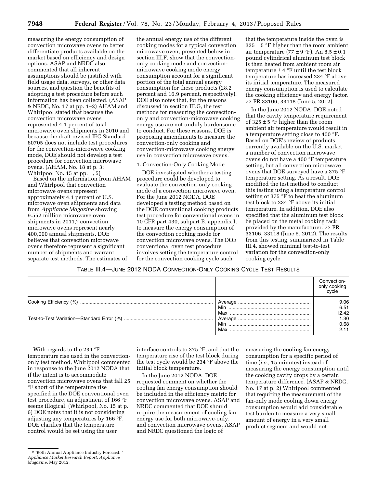measuring the energy consumption of convection microwave ovens to better differentiate products available on the market based on efficiency and design options. ASAP and NRDC also commented that all inherent assumptions should be justified with field usage data, surveys, or other data sources, and question the benefits of adopting a test procedure before such information has been collected. (ASAP & NRDC, No. 17 at pp. 1–2) AHAM and Whirlpool stated that because the convection microwave ovens represented 4.1 percent of total microwave oven shipments in 2010 and because the draft revised IEC Standard 60705 does not include test procedures for the convection-microwave cooking mode, DOE should not develop a test procedure for convection microwave ovens. (AHAM, No. 18 at p. 3; Whirlpool No. 15 at pp. 1, 5)

Based on the information from AHAM and Whirlpool that convection microwave ovens represent approximately 4.1 percent of U.S. microwave oven shipments and data from *Appliance Magazine* showing 9.552 million microwave oven shipments in 2011,<sup>9</sup> convection microwave ovens represent nearly 400,000 annual shipments. DOE believes that convection microwave ovens therefore represent a significant number of shipments and warrant separate test methods. The estimates of

the annual energy use of the different cooking modes for a typical convection microwave oven, presented below in section III.F, show that the convectiononly cooking mode and convectionmicrowave cooking mode energy consumption account for a significant portion of the total annual energy consumption for these products (28.2 percent and 16.9 percent, respectively). DOE also notes that, for the reasons discussed in section III.G, the test methods for measuring the convectiononly and convection-microwave cooking energy use are not unduly burdensome to conduct. For these reasons, DOE is proposing amendments to measure the convection-only cooking and convection-microwave cooking energy use in convection microwave ovens.

# 1. Convection-Only Cooking Mode

DOE investigated whether a testing procedure could be developed to evaluate the convection-only cooking mode of a convection microwave oven. For the June 2012 NODA, DOE developed a testing method based on the DOE conventional cooking products test procedure for conventional ovens in 10 CFR part 430, subpart B, appendix I, to measure the energy consumption of the convection cooking mode for convection microwave ovens. The DOE conventional oven test procedure involves setting the temperature control for the convection cooking cycle such

that the temperature inside the oven is  $325 \pm 5$  °F higher than the room ambient air temperature (77  $\pm$  9 °F). An 8.5  $\pm$  0.1 pound cylindrical aluminum test block is then heated from ambient room air temperature  $\pm$  4 °F until the test block temperature has increased 234 °F above its initial temperature. The measured energy consumption is used to calculate the cooking efficiency and energy factor. 77 FR 33106, 33118 (June 5, 2012).

In the June 2012 NODA, DOE noted that the cavity temperature requirement of 325  $\pm$  5 °F higher than the room ambient air temperature would result in a temperature setting close to 400 °F. Based on DOE's review of products currently available on the U.S. market, a number of convection microwave ovens do not have a 400 °F temperature setting, but all convection microwave ovens that DOE surveyed have a 375 °F temperature setting. As a result, DOE modified the test method to conduct this testing using a temperature control setting of 375 °F to heat the aluminum test block to 234 °F above its initial temperature. In addition, DOE also specified that the aluminum test block be placed on the metal cooking rack provided by the manufacturer. 77 FR 33106, 33118 (June 5, 2012). The results from this testing, summarized in Table III.4, showed minimal test-to-test variation for the convection-only cooking cycle.

# TABLE III.4—JUNE 2012 NODA CONVECTION-ONLY COOKING CYCLE TEST RESULTS

|     | Convection-<br>only cooking<br>cvcle |
|-----|--------------------------------------|
|     | 9.06                                 |
| Min | 6.51                                 |
|     | 12.42                                |
|     | 1.30                                 |
|     | 0.68                                 |
| Max | 2.11                                 |

With regards to the 234 °F temperature rise used in the convectiononly test method, Whirlpool commented in response to the June 2012 NODA that if the intent is to accommodate convection microwave ovens that fall 25 °F short of the temperature rise specified in the DOE conventional oven test procedure, an adjustment of 166 °F seems illogical. (Whirlpool, No. 15 at p. 6) DOE notes that it is not considering adjusting any temperatures by 166 °F. DOE clarifies that the temperature control would be set using the user

interface controls to 375 °F, and that the temperature rise of the test block during the test cycle would be 234 °F above the initial block temperature.

In the June 2012 NODA, DOE requested comment on whether the cooling fan energy consumption should be included in the efficiency metric for convection microwave ovens. ASAP and NRDC commented that DOE should require the measurement of cooling fan energy use for both microwave-only, and convection microwave ovens. ASAP and NRDC questioned the logic of

measuring the cooling fan energy consumption for a specific period of time (*i.e.,* 15 minutes) instead of measuring the energy consumption until the cooking cavity drops by a certain temperature difference. (ASAP & NRDC, No. 17 at p. 2) Whirlpool commented that requiring the measurement of the fan-only mode cooling down energy consumption would add considerable test burden to measure a very small amount of energy in a very small product segment and would not

<sup>9</sup> ''60th Annual Appliance Industry Forecast.'' *Appliance Market Research Report, Appliance Magazine,* May 2012.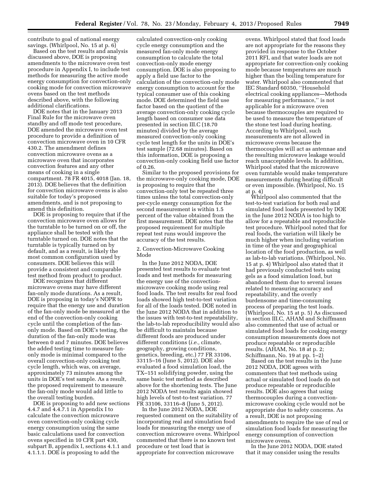contribute to goal of national energy savings. (Whirlpool, No. 15 at p. 6)

Based on the test results and analysis discussed above, DOE is proposing amendments to the microwave oven test procedure in Appendix I, to include test methods for measuring the active mode energy consumption for convection-only cooking mode for convection microwave ovens based on the test methods described above, with the following additional clarifications.

DOE notes that in the January 2013 Final Rule for the microwave oven standby and off mode test procedure, DOE amended the microwave oven test procedure to provide a definition of convection microwave oven in 10 CFR 430.2. The amendment defines convection microwave ovens as a microwave oven that incorporates convection features and any other means of cooking in a single compartment. 78 FR 4015, 4018 (Jan. 18, 2013). DOE believes that the definition for convection microwave ovens is also suitable for today's proposed amendments, and is not proposing to amend this definition.

DOE is proposing to require that if the convection microwave oven allows for the turntable to be turned on or off, the appliance shall be tested with the turntable turned on. DOE notes that the turntable is typically turned on by default, and as a result, is likely the most common configuration used by consumers. DOE believes this will provide a consistent and comparable test method from product to product.

DOE recognizes that different microwave ovens may have different fan-only mode durations. As a result, DOE is proposing in today's NOPR to require that the energy use and duration of the fan-only mode be measured at the end of the convection-only cooking cycle until the completion of the fanonly mode. Based on DOE's testing, the duration of the fan-only mode was between 0 and 7 minutes. DOE believes the added testing time to measure fanonly mode is minimal compared to the overall convection-only cooking test cycle length, which was, on average, approximately 73 minutes among the units in DOE's test sample. As a result, the proposed requirement to measure the fan-only mode would add little to the overall testing burden.

DOE is proposing to add new sections 4.4.7 and 4.4.7.1 in Appendix I to calculate the convection microwave oven convection-only cooking cycle energy consumption using the same basic calculations used for convection ovens specified in 10 CFR part 430, subpart B, appendix I, sections 4.1.1 and 4.1.1.1. DOE is proposing to add the

calculated convection-only cooking cycle energy consumption and the measured fan-only mode energy consumption to calculate the total convection-only mode energy consumption. DOE is also proposing to apply a field use factor to the calculation of the convection-only mode energy consumption to account for the typical consumer use of this cooking mode. DOE determined the field use factor based on the quotient of the average convection-only cooking cycle length based on consumer use data presented in section III.C (18.70 minutes) divided by the average measured convection-only cooking cycle test length for the units in DOE's test sample (72.68 minutes). Based on this information, DOE is proposing a convection-only cooking field use factor of 0.26.

Similar to the proposed provisions for the microwave-only cooking mode, DOE is proposing to require that the convection-only test be repeated three times unless the total convection-only per-cycle energy consumption for the second measurement is within 1.5 percent of the value obtained from the first measurement. DOE notes that the proposed requirement for multiple repeat test runs would improve the accuracy of the test results.

2. Convection-Microwave Cooking Mode

In the June 2012 NODA, DOE presented test results to evaluate test loads and test methods for measuring the energy use of the convectionmicrowave cooking mode using real food loads. The test results for real food loads showed high test-to-test variation for all of the loads tested. DOE noted in the June 2012 NODA that in addition to the issues with test-to-test repeatability, the lab-to-lab reproducibility would also be difficult to maintain because different foods are produced under different conditions (*i.e.,* climate, geography, growing conditions, genetics, breeding, etc.) 77 FR 33106, 33115–16 (June 5, 2012). DOE also evaluated a food simulation load, the TX–151 solidifying powder, using the same basic test method as described above for the shortening tests. The June 2012 NODA test results again showed high levels of test-to-test variation. 77 FR 33106, 33116–8 (June 5, 2012).

In the June 2012 NODA, DOE requested comment on the suitability of incorporating real and simulation food loads for measuring the energy use of convection microwave ovens. Whirlpool commented that there is no known test procedure or test load that is appropriate for convection microwave

ovens. Whirlpool stated that food loads are not appropriate for the reasons they provided in response to the October 2011 RFI, and that water loads are not appropriate for convection-only cooking mode because temperatures are much higher than the boiling temperature for water. Whirlpool also commented that IEC Standard 60350, ''Household electrical cooking appliances—Methods for measuring performance,'' is not applicable for a microwave oven because thermocouples are required to be used to measure the temperature of the stone test load during heating. According to Whirlpool, such measurements are not allowed in microwave ovens because the thermocouples will act as antennae and the resulting microwave leakage would reach unacceptable levels. In addition, Whirlpool stated that the microwave oven turntable would make temperature measurements during heating difficult or even impossible. (Whirlpool, No. 15 at p. 4)

Whirlpool also commented that the test-to-test variation for both real and simulated food loads presented by DOE in the June 2012 NODA is too high to allow for a repeatable and reproducible test procedure. Whirlpool noted that for real foods, the variation will likely be much higher when including variation in time of the year and geographical location of the food production, as well as lab-to-lab variations. (Whirlpool, No. 15 at p. 4) Whirlpool also stated that it had previously conducted tests using gels as a food simulation load, but abandoned them due to several issues related to measuring accuracy and repeatability, and the overly burdensome and time-consuming process of preparing the test loads. (Whirlpool, No. 15 at p. 5) As discussed in section III.C, AHAM and Schiffmann also commented that use of actual or simulated food loads for cooking energy consumption measurements does not produce repeatable or reproducible results. (AHAM, No. 18 at p. 2; Schiffmann, No. 19 at pp. 1–2)

Based on the test results in the June 2012 NODA, DOE agrees with commenters that test methods using actual or simulated food loads do not produce repeatable or reproducible results. DOE also agrees that using thermocouples during a convectionmicrowave cooking cycle would not be appropriate due to safety concerns. As a result, DOE is not proposing amendments to require the use of real or simulation food loads for measuring the energy consumption of convection microwave ovens.

In the June 2012 NODA, DOE stated that it may consider using the results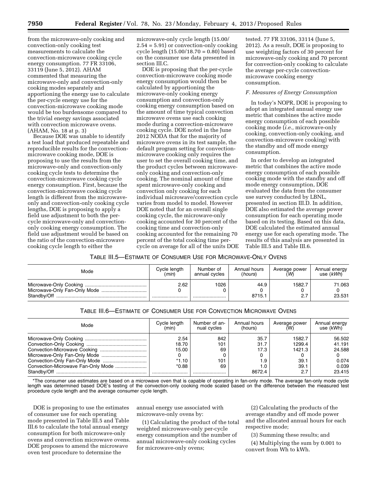from the microwave-only cooking and convection-only cooking test measurements to calculate the convection-microwave cooking cycle energy consumption. 77 FR 33106, 33119 (June 5, 2012). AHAM commented that measuring the microwave-only and convection-only cooking modes separately and apportioning the energy use to calculate the per-cycle energy use for the convection-microwave cooking mode would be too burdensome compared to the trivial energy savings associated with convection microwave ovens. (AHAM, No. 18 at p. 3)

Because DOE was unable to identify a test load that produced repeatable and reproducible results for the convectionmicrowave cooking mode, DOE is proposing to use the results from the microwave-only and convection-only cooking cycle tests to determine the convection-microwave cooking cycle energy consumption. First, because the convection-microwave cooking cycle length is different from the microwaveonly and convection-only cooking cycle lengths, DOE is proposing to apply a field use adjustment to both the percycle microwave-only and convectiononly cooking energy consumption. The field use adjustment would be based on the ratio of the convection-microwave cooking cycle length to either the

microwave-only cycle length (15.00/ 2.54 = 5.91) or convection-only cooking cycle length (15.00/18.70 = 0.80) based on the consumer use data presented in section III.C.

DOE is proposing that the per-cycle convection-microwave cooking mode energy consumption would then be calculated by apportioning the microwave-only cooking energy consumption and convection-only cooking energy consumption based on the amount of time typical convection microwave ovens use each cooking mode during a convection-microwave cooking cycle. DOE noted in the June 2012 NODA that for the majority of microwave ovens in its test sample, the default program setting for convectionmicrowave cooking only requires the user to set the overall cooking time, and the product cycles between microwaveonly cooking and convection-only cooking. The nominal amount of time spent microwave-only cooking and convection only cooking for each individual microwave/convection cycle varies from model to model. However DOE noted that for an overall single cooking cycle, the microwave-only cooking accounted for 30 percent of the cooking time and convection-only cooking accounted for the remaining 70 percent of the total cooking time percycle on average for all of the units DOE

tested. 77 FR 33106, 33114 (June 5, 2012). As a result, DOE is proposing to use weighting factors of 30 percent for microwave-only cooking and 70 percent for convection-only cooking to calculate the average per-cycle convectionmicrowave cooking energy consumption.

#### *F. Measures of Energy Consumption*

In today's NOPR, DOE is proposing to adopt an integrated annual energy use metric that combines the active mode energy consumption of each possible cooking mode (*i.e.,* microwave-only cooking, convection-only cooking, and convection-microwave cooking) with the standby and off mode energy consumption.

In order to develop an integrated metric that combines the active mode energy consumption of each possible cooking mode with the standby and off mode energy consumption, DOE evaluated the data from the consumer use survey conducted by LBNL, presented in section III.D. In addition, DOE also estimated the average power consumption for each operating mode based on its testing. Based on this data, DOE calculated the estimated annual energy use for each operating mode. The results of this analysis are presented in Table III.5 and Table III.6.

# TABLE III.5—ESTIMATE OF CONSUMER USE FOR MICROWAVE-ONLY OVENS

| Mode        | Cycle length | Number of     | Annual hours   | Average power | Annual energy    |
|-------------|--------------|---------------|----------------|---------------|------------------|
|             | (min)        | annual cycles | (hours)        | (W)           | use (kWh)        |
| Standbv/Off | 2.62<br>     | 1026<br>      | 44.9<br>8715.1 | 1582.7<br>2.7 | 71.063<br>23.531 |

# TABLE III.6—ESTIMATE OF CONSUMER USE FOR CONVECTION MICROWAVE OVENS

| Mode                               | Cycle length<br>(min) | Number of an-<br>nual cycles | Annual hours<br>(hours) | Average power<br>(W) | Annual energy<br>use (kWh) |
|------------------------------------|-----------------------|------------------------------|-------------------------|----------------------|----------------------------|
|                                    | 2.54                  | 842                          | 35.7                    | 1582.7               | 56.502                     |
|                                    | 18.70                 | 101                          | 31.7                    | 1299.4               | 41.191                     |
|                                    | 15.00                 | 69                           | 17.3                    | 1421.3               | 24.588                     |
|                                    |                       |                              | 0                       |                      |                            |
| Convection-Only Fan-Only Mode      | $*1.10$               | 101                          | 1.9                     | 39.1                 | 0.074                      |
| Convection-Microwave Fan-Only Mode | $*0.88$               | 69                           | 1.0                     | 39.1                 | 0.039                      |
|                                    |                       |                              | 8672.4                  | 2.7                  | 23.415                     |

\*The consumer use estimates are based on a microwave oven that is capable of operating in fan-only mode. The average fan-only mode cycle length was determined based DOE's testing of the convection-only cooking mode scaled based on the difference between the measured test procedure cycle length and the average consumer cycle length.

DOE is proposing to use the estimates of consumer use for each operating mode presented in Table III.5 and Table III.6 to calculate the total annual energy consumption for both microwave-only ovens and convection microwave ovens. DOE proposes to amend the microwave oven test procedure to determine the

annual energy use associated with microwave-only ovens by:

(1) Calculating the product of the total weighted microwave-only per-cycle energy consumption and the number of annual microwave-only cooking cycles for microwave-only ovens;

(2) Calculating the products of the average standby and off mode power and the allocated annual hours for each respective mode;

(3) Summing these results; and

(4) Multiplying the sum by 0.001 to convert from Wh to kWh.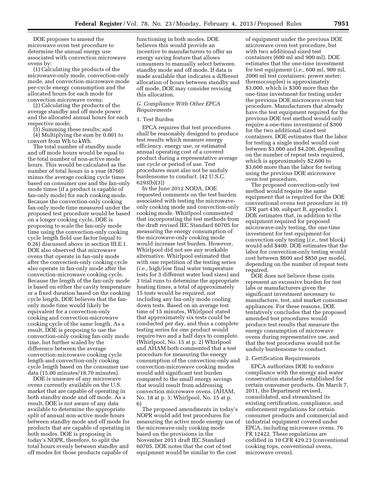DOE proposes to amend the microwave oven test procedure to determine the annual energy use associated with convection microwave ovens by:

(1) Calculating the products of the microwave-only mode, convection-only mode, and convection-microwave mode per-cycle energy consumption and the allocated hours for each mode for convection microwave ovens;

(2) Calculating the products of the average standby and off mode power and the allocated annual hours for each respective mode;

(3) Summing these results; and (4) Multiplying the sum by 0.001 to convert from Wh to kWh.

The total number of standby mode and off mode hours would be equal to the total number of non-active mode hours. This would be calculated as the number of total hours in a year (8760) minus the average cooking cycle times based on consumer use and the fan-only mode times (if a product is capable of fan-only mode) for each cooking mode. Because the convection-only cooking fan-only mode time measured under the proposed test procedure would be based on a longer cooking cycle, DOE is proposing to scale the fan-only mode time using the convection-only cooking cycle length field use factor (equal to 0.26) discussed above in section III.E.1. DOE also observed that microwave ovens that operate in fan-only mode after the convection-only cooking cycle also operate in fan-only mode after the convection-microwave cooking cycle. Because the length of the fan-only mode is based on either the cavity temperature or a fixed duration based on the cooking cycle length, DOE believes that the fanonly mode time would likely be equivalent for a convection-only cooking and convection-microwave cooking cycle of the same length. As a result, DOE is proposing to use the convection-only cooking fan-only mode time, but further scaled by the difference between the average convection-microwave cooking cycle length and convection-only cooking cycle length based on the consumer use data (15.00 minutes/18.70 minutes).

DOE is unaware of any microwave ovens currently available on the U.S. market that are capable of operating in both standby mode and off mode. As a result, DOE is not aware of any data available to determine the appropriate split of annual non-active mode hours between standby mode and off mode for products that are capable of operating in both modes. DOE is proposing in today's NOPR, therefore, to split the total hours evenly between standby and off modes for those products capable of

functioning in both modes. DOE believes this would provide an incentive to manufacturers to offer an energy saving feature that allows consumers to manually select between standby mode and off mode. If data is made available that indicates a different allocation of hours between standby and off mode, DOE may consider revising this allocation.

## *G. Compliance With Other EPCA Requirements*

#### 1. Test Burden

EPCA requires that test procedures shall be reasonably designed to produce test results which measure energy efficiency, energy use, or estimated annual operating cost of a covered product during a representative average use cycle or period of use. Test procedures must also not be unduly burdensome to conduct. (42 U.S.C. 6293(b)(3))

In the June 2012 NODA, DOE requested comments on the test burden associated with testing the microwaveonly cooking mode and convection-only cooking mode. Whirlpool commented that incorporating the test methods from the draft revised IEC Standard 60705 for measuring the energy consumption of the microwave-only cooking mode would increase test burden. However, Whirlpool did not see any workable alternative. Whirlpool estimated that with one repetition of the testing series (*i.e.,* high/low final water temperature tests for 3 different water load sizes) and 3 trial runs to determine the appropriate heating times, a total of approximately 15 tests would be required, not including any fan-only mode cooling down tests. Based on an average test time of 15 minutes, Whirlpool stated that approximately six tests could be conducted per day, and thus a complete testing series for one product would require two and a half days to complete. (Whirlpool, No. 15 at p. 2) Whirlpool and AHAM both commented that a test procedure for measuring the energy consumption of the convection-only and convection-microwave cooking modes would add significant test burden compared to the small energy savings that would result from addressing convection microwave ovens. (AHAM, No. 18 at p. 3; Whirlpool, No. 15 at p. 6)

The proposed amendments in today's NOPR would add test procedures for measuring the active mode energy use of the microwave-only cooking mode based on the provisions in the November 2011 draft IEC Standard 60705. DOE notes that the cost of test equipment would be similar to the cost

of equipment under the previous DOE microwave oven test procedure, but with two additional sized test containers (600 ml and 900 ml). DOE estimates that the one-time investment for test equipment (*i.e.,* 600 ml, 900 ml, 2000 ml test containers; power meter; thermocouples) is approximately \$3,000, which is \$300 more than the one-time investment for testing under the previous DOE microwave oven test procedure. Manufacturers that already have the test equipment required for the previous DOE test method would only require a one-time investment of \$300 for the two additional sized test containers. DOE estimates that the labor for testing a single model would cost between \$3,000 and \$4,200, depending on the number of repeat tests required, which is approximately \$2,600 to \$3,600 more than the labor for testing using the previous DOE microwave oven test procedure,

The proposed convection-only test method would require the same equipment that is required for the DOE conventional ovens test procedure in 10 CFR part 430, subpart B, appendix I. DOE estimates that, in addition to the equipment required for proposed microwave-only testing, the one-time investment for test equipment for convection-only testing (*i.e.,* test block) would add \$400. DOE estimates that the labor for convection-only testing would cost between \$600 and \$850 per model, depending on the number of repeat tests required.

DOE does not believe these costs represent an excessive burden for test labs or manufacturers given the significant investment necessary to manufacture, test, and market consumer appliances. For these reasons, DOE tentatively concludes that the proposed amended test procedures would produce test results that measure the energy consumption of microwave ovens during representative use, and that the test procedures would not be unduly burdensome to conduct.

#### 2. Certification Requirements

EPCA authorizes DOE to enforce compliance with the energy and water conservation standards established for certain consumer products. On March 7, 2011, the Department revised, consolidated, and streamlined its existing certification, compliance, and enforcement regulations for certain consumer products and commercial and industrial equipment covered under EPCA, including microwave ovens. 76 FR 12422. These regulations are codified in 10 CFR 429.23 (conventional cooking tops, conventional ovens, microwave ovens).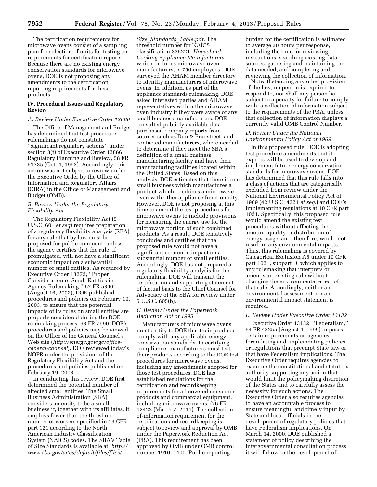The certification requirements for microwave ovens consist of a sampling plan for selection of units for testing and requirements for certification reports. Because there are no existing energy conservation standards for microwave ovens, DOE is not proposing any amendments to the certification reporting requirements for these products.

#### **IV. Procedural Issues and Regulatory Review**

#### *A. Review Under Executive Order 12866*

The Office of Management and Budget has determined that test procedure rulemakings do not constitute ''significant regulatory actions'' under section 3(f) of Executive Order 12866, Regulatory Planning and Review, 58 FR 51735 (Oct. 4, 1993). Accordingly, this action was not subject to review under the Executive Order by the Office of Information and Regulatory Affairs (OIRA) in the Office of Management and Budget (OMB).

#### *B. Review Under the Regulatory Flexibility Act*

The Regulatory Flexibility Act (5 U.S.C. 601 *et seq*) requires preparation of a regulatory flexibility analysis (RFA) for any rule that by law must be proposed for public comment, unless the agency certifies that the rule, if promulgated, will not have a significant economic impact on a substantial number of small entities. As required by Executive Order 13272, ''Proper Consideration of Small Entities in Agency Rulemaking,'' 67 FR 53461 (August 16, 2002), DOE published procedures and policies on February 19, 2003, to ensure that the potential impacts of its rules on small entities are properly considered during the DOE rulemaking process. 68 FR 7990. DOE's procedures and policies may be viewed on the Office of the General Counsel's Web site (*[http://energy.gov/gc/office](http://energy.gov/gc/office-general-counsel)[general-counsel](http://energy.gov/gc/office-general-counsel)*). DOE reviewed today's NOPR under the provisions of the Regulatory Flexibility Act and the procedures and policies published on February 19, 2003.

In conducting this review, DOE first determined the potential number of affected small entities. The Small Business Administration (SBA) considers an entity to be a small business if, together with its affiliates, it employs fewer than the threshold number of workers specified in 13 CFR part 121 according to the North American Industry Classification System (NAICS) codes. The SBA's Table of Size Standards is available at: *[http://](http://www.sba.gov/sites/default/files/files/Size_Standards_Table.pdf) [www.sba.gov/sites/default/files/files/](http://www.sba.gov/sites/default/files/files/Size_Standards_Table.pdf)* 

*Size*\_*[Standards](http://www.sba.gov/sites/default/files/files/Size_Standards_Table.pdf)*\_*Table.pdf.* The threshold number for NAICS classification 335221, *Household Cooking Appliance Manufacturers,*  which includes microwave oven manufacturers, is 750 employees. DOE surveyed the AHAM member directory to identify manufacturers of microwave ovens. In addition, as part of the appliance standards rulemaking, DOE asked interested parties and AHAM representatives within the microwave oven industry if they were aware of any small business manufacturers. DOE consulted publicly available data, purchased company reports from sources such as Dun & Bradstreet, and contacted manufacturers, where needed, to determine if they meet the SBA's definition of a small business manufacturing facility and have their manufacturing facilities located within the United States. Based on this analysis, DOE estimates that there is one small business which manufactures a product which combines a microwave oven with other appliance functionality. However, DOE is not proposing at this time to amend the test procedures for microwave ovens to include provisions for measuring the energy use for the microwave portion of such combined products. As a result, DOE tentatively concludes and certifies that the proposed rule would not have a significant economic impact on a substantial number of small entities. Accordingly, DOE has not prepared a regulatory flexibility analysis for this rulemaking. DOE will transmit the certification and supporting statement of factual basis to the Chief Counsel for Advocacy of the SBA for review under 5 U.S.C. 605(b).

#### *C. Review Under the Paperwork Reduction Act of 1995*

Manufacturers of microwave ovens must certify to DOE that their products comply with any applicable energy conservation standards. In certifying compliance, manufacturers must test their products according to the DOE test procedures for microwave ovens, including any amendments adopted for those test procedures. DOE has established regulations for the certification and recordkeeping requirements for all covered consumer products and commercial equipment, including microwave ovens. (76 FR 12422 (March 7, 2011). The collectionof-information requirement for the certification and recordkeeping is subject to review and approval by OMB under the Paperwork Reduction Act (PRA). This requirement has been approved by OMB under OMB control number 1910–1400. Public reporting

burden for the certification is estimated to average 20 hours per response, including the time for reviewing instructions, searching existing data sources, gathering and maintaining the data needed, and completing and reviewing the collection of information.

Notwithstanding any other provision of the law, no person is required to respond to, nor shall any person be subject to a penalty for failure to comply with, a collection of information subject to the requirements of the PRA, unless that collection of information displays a currently valid OMB Control Number.

#### *D. Review Under the National Environmental Policy Act of 1969*

In this proposed rule, DOE is adopting test procedure amendments that it expects will be used to develop and implement future energy conservation standards for microwave ovens. DOE has determined that this rule falls into a class of actions that are categorically excluded from review under the National Environmental Policy Act of 1969 (42 U.S.C. 4321 *et seq.*) and DOE's implementing regulations at 10 CFR part 1021. Specifically, this proposed rule would amend the existing test procedures without affecting the amount, quality or distribution of energy usage, and, therefore, would not result in any environmental impacts. Thus, this rulemaking is covered by Categorical Exclusion A5 under 10 CFR part 1021, subpart D, which applies to any rulemaking that interprets or amends an existing rule without changing the environmental effect of that rule. Accordingly, neither an environmental assessment nor an environmental impact statement is required.

#### *E. Review Under Executive Order 13132*

Executive Order 13132, ''Federalism,'' 64 FR 43255 (August 4, 1999) imposes certain requirements on agencies formulating and implementing policies or regulations that preempt State law or that have Federalism implications. The Executive Order requires agencies to examine the constitutional and statutory authority supporting any action that would limit the policymaking discretion of the States and to carefully assess the necessity for such actions. The Executive Order also requires agencies to have an accountable process to ensure meaningful and timely input by State and local officials in the development of regulatory policies that have Federalism implications. On March 14, 2000, DOE published a statement of policy describing the intergovernmental consultation process it will follow in the development of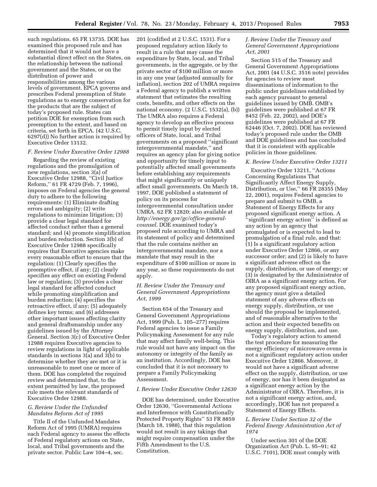such regulations. 65 FR 13735. DOE has examined this proposed rule and has determined that it would not have a substantial direct effect on the States, on the relationship between the national government and the States, or on the distribution of power and responsibilities among the various levels of government. EPCA governs and prescribes Federal preemption of State regulations as to energy conservation for the products that are the subject of today's proposed rule. States can petition DOE for exemption from such preemption to the extent, and based on criteria, set forth in EPCA. (42 U.S.C. 6297(d)) No further action is required by Executive Order 13132.

#### *F. Review Under Executive Order 12988*

Regarding the review of existing regulations and the promulgation of new regulations, section 3(a) of Executive Order 12988, ''Civil Justice Reform,'' 61 FR 4729 (Feb. 7, 1996), imposes on Federal agencies the general duty to adhere to the following requirements: (1) Eliminate drafting errors and ambiguity; (2) write regulations to minimize litigation; (3) provide a clear legal standard for affected conduct rather than a general standard; and (4) promote simplification and burden reduction. Section 3(b) of Executive Order 12988 specifically requires that Executive agencies make every reasonable effort to ensure that the regulation: (1) Clearly specifies the preemptive effect, if any; (2) clearly specifies any effect on existing Federal law or regulation; (3) provides a clear legal standard for affected conduct while promoting simplification and burden reduction; (4) specifies the retroactive effect, if any; (5) adequately defines key terms; and (6) addresses other important issues affecting clarity and general draftsmanship under any guidelines issued by the Attorney General. Section 3(c) of Executive Order 12988 requires Executive agencies to review regulations in light of applicable standards in sections 3(a) and 3(b) to determine whether they are met or it is unreasonable to meet one or more of them. DOE has completed the required review and determined that, to the extent permitted by law, the proposed rule meets the relevant standards of Executive Order 12988.

#### *G. Review Under the Unfunded Mandates Reform Act of 1995*

Title II of the Unfunded Mandates Reform Act of 1995 (UMRA) requires each Federal agency to assess the effects of Federal regulatory actions on State, local, and Tribal governments and the private sector. Public Law 104–4, sec.

201 (codified at 2 U.S.C. 1531). For a proposed regulatory action likely to result in a rule that may cause the expenditure by State, local, and Tribal governments, in the aggregate, or by the private sector of \$100 million or more in any one year (adjusted annually for inflation), section 202 of UMRA requires a Federal agency to publish a written statement that estimates the resulting costs, benefits, and other effects on the national economy. (2 U.S.C. 1532(a), (b)) The UMRA also requires a Federal agency to develop an effective process to permit timely input by elected officers of State, local, and Tribal governments on a proposed ''significant intergovernmental mandate,'' and requires an agency plan for giving notice and opportunity for timely input to potentially affected small governments before establishing any requirements that might significantly or uniquely affect small governments. On March 18, 1997, DOE published a statement of policy on its process for intergovernmental consultation under UMRA. 62 FR 12820; also available at *[http://energy.gov/gc/office-general](http://energy.gov/gc/office-general-counsel)[counsel.](http://energy.gov/gc/office-general-counsel)* DOE examined today's proposed rule according to UMRA and its statement of policy and determined that the rule contains neither an intergovernmental mandate, nor a mandate that may result in the expenditure of \$100 million or more in any year, so these requirements do not apply.

# *H. Review Under the Treasury and General Government Appropriations Act, 1999*

Section 654 of the Treasury and General Government Appropriations Act, 1999 (Pub. L. 105–277) requires Federal agencies to issue a Family Policymaking Assessment for any rule that may affect family well-being. This rule would not have any impact on the autonomy or integrity of the family as an institution. Accordingly, DOE has concluded that it is not necessary to prepare a Family Policymaking Assessment.

#### *I. Review Under Executive Order 12630*

DOE has determined, under Executive Order 12630, ''Governmental Actions and Interference with Constitutionally Protected Property Rights'' 53 FR 8859 (March 18, 1988), that this regulation would not result in any takings that might require compensation under the Fifth Amendment to the U.S. Constitution.

#### *J. Review Under the Treasury and General Government Appropriations Act, 2001*

Section 515 of the Treasury and General Government Appropriations Act, 2001 (44 U.S.C. 3516 note) provides for agencies to review most disseminations of information to the public under guidelines established by each agency pursuant to general guidelines issued by OMB. OMB's guidelines were published at 67 FR 8452 (Feb. 22, 2002), and DOE's guidelines were published at 67 FR 62446 (Oct. 7, 2002). DOE has reviewed today's proposed rule under the OMB and DOE guidelines and has concluded that it is consistent with applicable policies in those guidelines.

#### *K. Review Under Executive Order 13211*

Executive Order 13211, ''Actions Concerning Regulations That Significantly Affect Energy Supply, Distribution, or Use,'' 66 FR 28355 (May 22, 2001), requires Federal agencies to prepare and submit to OMB, a Statement of Energy Effects for any proposed significant energy action. A "significant energy action" is defined as any action by an agency that promulgated or is expected to lead to promulgation of a final rule, and that: (1) Is a significant regulatory action under Executive Order 12866, or any successor order; and (2) is likely to have a significant adverse effect on the supply, distribution, or use of energy; or (3) is designated by the Administrator of OIRA as a significant energy action. For any proposed significant energy action, the agency must give a detailed statement of any adverse effects on energy supply, distribution, or use should the proposal be implemented, and of reasonable alternatives to the action and their expected benefits on energy supply, distribution, and use.

Today's regulatory action to amend the test procedure for measuring the energy efficiency of microwave ovens is not a significant regulatory action under Executive Order 12866. Moreover, it would not have a significant adverse effect on the supply, distribution, or use of energy, nor has it been designated as a significant energy action by the Administrator of OIRA. Therefore, it is not a significant energy action, and, accordingly, DOE has not prepared a Statement of Energy Effects.

#### *L. Review Under Section 32 of the Federal Energy Administration Act of 1974*

Under section 301 of the DOE Organization Act (Pub. L. 95–91; 42 U.S.C. 7101), DOE must comply with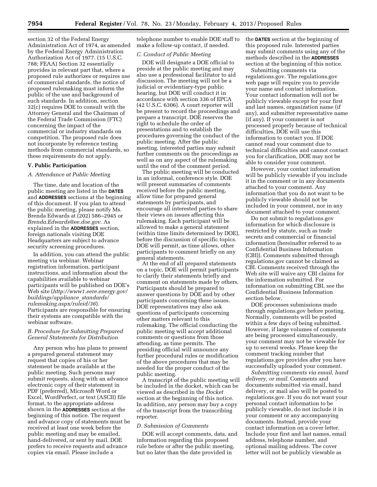section 32 of the Federal Energy Administration Act of 1974, as amended by the Federal Energy Administration Authorization Act of 1977. (15 U.S.C. 788; FEAA) Section 32 essentially provides in relevant part that, where a proposed rule authorizes or requires use of commercial standards, the notice of proposed rulemaking must inform the public of the use and background of such standards. In addition, section 32(c) requires DOE to consult with the Attorney General and the Chairman of the Federal Trade Commission (FTC) concerning the impact of the commercial or industry standards on competition. The proposed rule does not incorporate by reference testing methods from commercial standards, so these requirements do not apply.

#### **V. Public Participation**

#### *A. Attendance at Public Meeting*

The time, date and location of the public meeting are listed in the **DATES** and **ADDRESSES** sections at the beginning of this document. If you plan to attend the public meeting, please notify Ms. Brenda Edwards at (202) 586–2945 or *[Brenda.Edwards@ee.doe.gov.](mailto:Brenda.Edwards@ee.doe.gov)* As explained in the **ADDRESSES** section, foreign nationals visiting DOE Headquarters are subject to advance security screening procedures.

In addition, you can attend the public meeting via webinar. Webinar registration information, participant instructions, and information about the capabilities available to webinar participants will be published on DOE's Web site (*[http://www1.eere.energy.gov/](http://www1.eere.energy.gov/buildings/appliance_standards/rulemaking.aspx/ruleid/36) [buildings/appliance](http://www1.eere.energy.gov/buildings/appliance_standards/rulemaking.aspx/ruleid/36)*\_*standards/ [rulemaking.aspx/ruleid/36](http://www1.eere.energy.gov/buildings/appliance_standards/rulemaking.aspx/ruleid/36)*). Participants are responsible for ensuring their systems are compatible with the webinar software.

#### *B. Procedure for Submitting Prepared General Statements for Distribution*

Any person who has plans to present a prepared general statement may request that copies of his or her statement be made available at the public meeting. Such persons may submit requests, along with an advance electronic copy of their statement in PDF (preferred), Microsoft Word or Excel, WordPerfect, or text (ASCII) file format, to the appropriate address shown in the **ADDRESSES** section at the beginning of this notice. The request and advance copy of statements must be received at least one week before the public meeting and may be emailed, hand-delivered, or sent by mail. DOE prefers to receive requests and advance copies via email. Please include a

telephone number to enable DOE staff to make a follow-up contact, if needed.

#### *C. Conduct of Public Meeting*

DOE will designate a DOE official to preside at the public meeting and may also use a professional facilitator to aid discussion. The meeting will not be a judicial or evidentiary-type public hearing, but DOE will conduct it in accordance with section 336 of EPCA (42 U.S.C. 6306). A court reporter will be present to record the proceedings and prepare a transcript. DOE reserves the right to schedule the order of presentations and to establish the procedures governing the conduct of the public meeting. After the public meeting, interested parties may submit further comments on the proceedings as well as on any aspect of the rulemaking until the end of the comment period.

The public meeting will be conducted in an informal, conference style. DOE will present summaries of comments received before the public meeting, allow time for prepared general statements by participants, and encourage all interested parties to share their views on issues affecting this rulemaking. Each participant will be allowed to make a general statement (within time limits determined by DOE), before the discussion of specific topics. DOE will permit, as time allows, other participants to comment briefly on any general statements.

At the end of all prepared statements on a topic, DOE will permit participants to clarify their statements briefly and comment on statements made by others. Participants should be prepared to answer questions by DOE and by other participants concerning these issues. DOE representatives may also ask questions of participants concerning other matters relevant to this rulemaking. The official conducting the public meeting will accept additional comments or questions from those attending, as time permits. The presiding official will announce any further procedural rules or modification of the above procedures that may be needed for the proper conduct of the public meeting.

A transcript of the public meeting will be included in the docket, which can be viewed as described in the *Docket*  section at the beginning of this notice. In addition, any person may buy a copy of the transcript from the transcribing reporter.

#### *D. Submission of Comments*

DOE will accept comments, data, and information regarding this proposed rule before or after the public meeting, but no later than the date provided in

the **DATES** section at the beginning of this proposed rule. Interested parties may submit comments using any of the methods described in the **ADDRESSES** section at the beginning of this notice.

Submitting comments via regulations.gov. The regulations.gov web page will require you to provide your name and contact information. Your contact information will not be publicly viewable except for your first and last names, organization name (if any), and submitter representative name (if any). If your comment is not processed properly because of technical difficulties, DOE will use this information to contact you. If DOE cannot read your comment due to technical difficulties and cannot contact you for clarification, DOE may not be able to consider your comment.

However, your contact information will be publicly viewable if you include it in the comment or in any documents attached to your comment. Any information that you do not want to be publicly viewable should not be included in your comment, nor in any document attached to your comment.

Do not submit to regulations.gov information for which disclosure is restricted by statute, such as trade secrets and commercial or financial information (hereinafter referred to as Confidential Business Information (CBI)). Comments submitted through regulations.gov cannot be claimed as CBI. Comments received through the Web site will waive any CBI claims for the information submitted. For information on submitting CBI, see the Confidential Business Information section below.

DOE processes submissions made through regulations.gov before posting. Normally, comments will be posted within a few days of being submitted. However, if large volumes of comments are being processed simultaneously, your comment may not be viewable for up to several weeks. Please keep the comment tracking number that regulations.gov provides after you have successfully uploaded your comment.

*Submitting comments via email, hand delivery, or mail.* Comments and documents submitted via email, hand delivery, or mail also will be posted to regulations.gov. If you do not want your personal contact information to be publicly viewable, do not include it in your comment or any accompanying documents. Instead, provide your contact information on a cover letter. Include your first and last names, email address, telephone number, and optional mailing address. The cover letter will not be publicly viewable as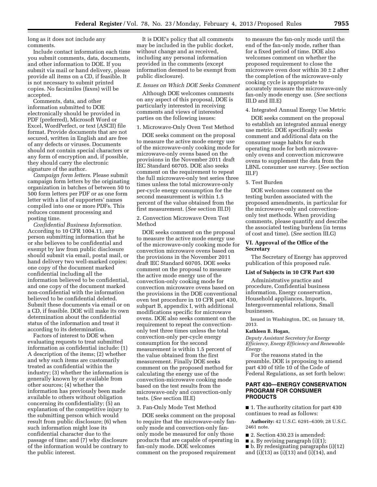long as it does not include any comments.

Include contact information each time you submit comments, data, documents, and other information to DOE. If you submit via mail or hand delivery, please provide all items on a CD, if feasible. It is not necessary to submit printed copies. No facsimiles (faxes) will be accepted.

Comments, data, and other information submitted to DOE electronically should be provided in PDF (preferred), Microsoft Word or Excel, WordPerfect, or text (ASCII) file format. Provide documents that are not secured, written in English and are free of any defects or viruses. Documents should not contain special characters or any form of encryption and, if possible, they should carry the electronic signature of the author.

*Campaign form letters.* Please submit campaign form letters by the originating organization in batches of between 50 to 500 form letters per PDF or as one form letter with a list of supporters' names compiled into one or more PDFs. This reduces comment processing and posting time.

*Confidential Business Information.*  According to 10 CFR 1004.11, any person submitting information that he or she believes to be confidential and exempt by law from public disclosure should submit via email, postal mail, or hand delivery two well-marked copies: one copy of the document marked confidential including all the information believed to be confidential, and one copy of the document marked non-confidential with the information believed to be confidential deleted. Submit these documents via email or on a CD, if feasible. DOE will make its own determination about the confidential status of the information and treat it according to its determination.

Factors of interest to DOE when evaluating requests to treat submitted information as confidential include: (1) A description of the items; (2) whether and why such items are customarily treated as confidential within the industry; (3) whether the information is generally known by or available from other sources; (4) whether the information has previously been made available to others without obligation concerning its confidentiality; (5) an explanation of the competitive injury to the submitting person which would result from public disclosure; (6) when such information might lose its confidential character due to the passage of time; and (7) why disclosure of the information would be contrary to the public interest.

It is DOE's policy that all comments may be included in the public docket, without change and as received, including any personal information provided in the comments (except information deemed to be exempt from public disclosure).

#### *E. Issues on Which DOE Seeks Comment*

Although DOE welcomes comments on any aspect of this proposal, DOE is particularly interested in receiving comments and views of interested parties on the following issues:

#### 1. Microwave-Only Oven Test Method

DOE seeks comment on the proposal to measure the active mode energy use of the microwave-only cooking mode for microwave-only ovens based on the provisions in the November 2011 draft IEC Standard 60705. DOE also seeks comment on the requirement to repeat the full microwave-only test series three times unless the total microwave-only per-cycle energy consumption for the second measurement is within 1.5 percent of the value obtained from the first measurement. (*See* section III.D)

2. Convection Microwave Oven Test Method

DOE seeks comment on the proposal to measure the active mode energy use of the microwave-only cooking mode for convection microwave ovens based on the provisions in the November 2011 draft IEC Standard 60705. DOE seeks comment on the proposal to measure the active mode energy use of the convection-only cooking mode for convection microwave ovens based on the provisions in the DOE conventional oven test procedure in 10 CFR part 430, subpart B, appendix I, with additional modifications specific for microwave ovens. DOE also seeks comment on the requirement to repeat the convectiononly test three times unless the total convection-only per-cycle energy consumption for the second measurement is within 1.5 percent of the value obtained from the first measurement. Finally DOE seeks comment on the proposed method for calculating the energy use of the convection-microwave cooking mode based on the test results from the microwave-only and convection-only tests. (*See* section III.E)

# 3. Fan-Only Mode Test Method

DOE seeks comment on the proposal to require that the microwave-only fanonly mode and convection-only fanonly mode be measured for only those products that are capable of operating in fan-only mode. DOE welcomes comment on the proposed requirement

to measure the fan-only mode until the end of the fan-only mode, rather than for a fixed period of time. DOE also welcomes comment on whether the proposed requirement to close the microwave oven door within  $30 \pm 2$  after the completion of the microwave-only cooking cycle is appropriate to accurately measure the microwave-only fan-only mode energy use. (*See* sections III.D and III.E)

#### 4. Integrated Annual Energy Use Metric

DOE seeks comment on the proposal to establish an integrated annual energy use metric. DOE specifically seeks comment and additional data on the consumer usage habits for each operating mode for both microwaveonly ovens and convection microwave ovens to supplement the data from the LBNL consumer use survey. (*See* section III.F)

#### 5. Test Burden

DOE welcomes comment on the testing burden associated with the proposed amendments, in particular for the microwave-only and convectiononly test methods. When providing comments, please quantify and describe the associated testing burdens (in terms of cost and time). (*See* section III.G)

#### **VI. Approval of the Office of the Secretary**

The Secretary of Energy has approved publication of this proposed rule.

#### **List of Subjects in 10 CFR Part 430**

Administrative practice and procedure, Confidential business information, Energy conservation, Household appliances, Imports, Intergovernmental relations, Small businesses.

Issued in Washington, DC, on January 18, 2013.

#### **Kathleen B. Hogan,**

*Deputy Assistant Secretary for Energy Efficiency, Energy Efficiency and Renewable Energy.* 

For the reasons stated in the preamble, DOE is proposing to amend part 430 of title 10 of the Code of Federal Regulations, as set forth below:

# **PART 430—ENERGY CONSERVATION PROGRAM FOR CONSUMER PRODUCTS**

■ 1. The authority citation for part 430 continues to read as follows:

**Authority:** 42 U.S.C. 6291–6309; 28 U.S.C. 2461 note.

- 2. Section 430.23 is amended:
- a. By revising paragraph (i)(1);
- b. By redesignating paragraphs (i)(12)
- and (i)(13) as (i)(13) and (i)(14), and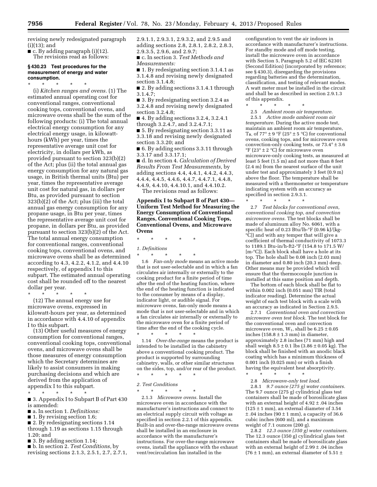revising newly redesignated paragraph (i)(13); and

■ c. By adding paragraph (i)(12). The revisions read as follows:

#### **§ 430.23 Test procedures for the measurement of energy and water consumption.**

\* \* \* \* \*

(i) *Kitchen ranges and ovens.* (1) The estimated annual operating cost for conventional ranges, conventional cooking tops, conventional ovens, and microwave ovens shall be the sum of the following products: (i) The total annual electrical energy consumption for any electrical energy usage, in kilowatthours (kWh) per year, times the representative average unit cost for electricity, in dollars per kWh, as provided pursuant to section 323(b)(2) of the Act; plus (ii) the total annual gas energy consumption for any natural gas usage, in British thermal units (Btu) per year, times the representative average unit cost for natural gas, in dollars per Btu, as provided pursuant to section 323(b)(2) of the Act; plus (iii) the total annual gas energy consumption for any propane usage, in Btu per year, times the representative average unit cost for propane, in dollars per Btu, as provided pursuant to section 323(b)(2) of the Act. The total annual energy consumption for conventional ranges, conventional cooking tops, conventional ovens, and microwave ovens shall be as determined according to 4.3, 4.2.2, 4.1.2, and 4.4.10 respectively, of appendix I to this subpart. The estimated annual operating cost shall be rounded off to the nearest dollar per year.

\* \* \* \* \*

(12) The annual energy use for microwave ovens, expressed in kilowatt-hours per year, as determined in accordance with 4.4.10 of appendix I to this subpart.

(13) Other useful measures of energy consumption for conventional ranges, conventional cooking tops, conventional ovens, and microwave ovens shall be those measures of energy consumption which the Secretary determines are likely to assist consumers in making purchasing decisions and which are derived from the application of appendix I to this subpart.

\* \* \* \* \*

■ 3. Appendix I to Subpart B of Part 430 is amended:

- a. In section 1. *Definitions:*
- 1. By revising section 1.6;

■ 2. By redesignating sections 1.14 through 1.19 as sections 1.15 through 1.20; and

■ 3. By adding section 1.14;

■ b. In section 2. *Test Conditions,* by revising sections 2.1.3, 2.5.1, 2.7, 2.7.1, 2.9.1.1, 2.9.3.1, 2.9.3.2, and 2.9.5 and adding sections 2.8, 2.8.1, 2.8.2, 2.8.3, 2.9.3.5, 2.9.6, and 2.9.7;

■ c. In section 3. *Test Methods and Measurements:* 

■ 1. By redesignating section 3.1.4.1 as 3.1.4.8 and revising newly designated section 3.1.4.8;

■ 2. By adding sections 3.1.4.1 through 3.1.4.7;

■ 3. By redesignating section 3.2.4 as 3.2.4.8 and revising newly designated section 3.2.4.8;

■ 4. By adding sections 3.2.4, 3.2.4.1 through 3.2.4.7, and 3.2.4.7.1;

■ 5. By redesignating section 3.3.11 as 3.3.18 and revising newly designated section 3.3.20; and

■ 6. By adding sections 3.3.11 through 3.3.17 and 3.3.17.1;

■ d. In section 4. *Calculation of Derived Results From Test Measurements,* by adding sections 4.4, 4.4.1, 4.4.2, 4.4.3, 4.4.4, 4.4.5, 4.4.6, 4.4.7, 4.4.7.1, 4.4.8, 4.4.9, 4.4.10, 4.4.10.1, and 4.4.10.2.

The revisions read as follows:

**Appendix I to Subpart B of Part 430— Uniform Test Method for Measuring the Energy Consumption of Conventional Ranges, Conventional Cooking Tops, Conventional Ovens, and Microwave Ovens** 

\* \* \* \* \*

# *1. Definitions*

\* \* \* \* \* 1.6 *Fan-only mode* means an active mode that is not user-selectable and in which a fan circulates air internally or externally to the cooking product for a finite period of time after the end of the heating function, where the end of the heating function is indicated to the consumer by means of a display, indicator light, or audible signal. For microwave ovens, fan-only mode means a mode that is not user-selectable and in which

a fan circulates air internally or externally to the microwave oven for a finite period of time after the end of the cooking cycle. \* \* \* \* \* 1.14 *Over-the-range* means the product is intended to be installed in the cabinetry above a conventional cooking product. The

product is supported by surrounding cabinetry, walls, or other similar structures on the sides, top, and/or rear of the product. \* \* \* \* \*

#### *2. Test Conditions*

\* \* \* \* \*

2.1.3 *Microwave ovens.* Install the microwave oven in accordance with the manufacturer's instructions and connect to an electrical supply circuit with voltage as specified in section 2.2.1 of this appendix. Built-in and over-the-range microwave ovens shall be installed in an enclosure in accordance with the manufacturer's instructions. For over-the-range microwave ovens, install the appliance with the exhaust vent/recirculation fan installed in the

configuration to vent the air indoors in accordance with manufacturer's instructions. For standby mode and off mode testing, install the microwave oven in accordance with Section 5, Paragraph 5.2 of IEC 62301 (Second Edition) (incorporated by reference; see § 430.3), disregarding the provisions regarding batteries and the determination, classification, and testing of relevant modes. A watt meter must be installed in the circuit and shall be as described in section 2.9.1.3 of this appendix.

\* \* \* \* \* 2.5 *Ambient room air temperature.*  2.5.1 *Active mode ambient room air temperature.* During the active mode test, maintain an ambient room air temperature,  $T_{R,0}$  of 77°  $\pm$  9 °F (25°  $\pm$  5 °C) for conventional ovens, cooking tops, and for microwave oven convection-only cooking tests, or  $73.4^{\circ} \pm 3.6$  $\mathrm{P}F(23^{\circ} \pm 2 \mathrm{C})$  for microwave oven microwave-only cooking tests, as measured at least 5 feet (1.5 m) and not more than 8 feet (2.4 m) from the nearest surface of the unit under test and approximately 3 feet (0.9 m) above the floor. The temperature shall be measured with a thermometer or temperature indicating system with an accuracy as specified in section 2.9.3.1.

\* \* \* \* \* 2.7 *Test blocks for conventional oven, conventional cooking top, and convection microwave ovens.* The test blocks shall be made of aluminum alloy No. 6061, with a specific heat of 0.23 Btu/lb-°F (0.96 kJ/[kg- °C]) and with any temper that will give a coefficient of thermal conductivity of 1073.3 to 1189.1 Btu-in/h-ft2-°F (154.8 to 171.5 W/ [m-°C]). Each block shall have a hole at its top. The hole shall be 0.08 inch (2.03 mm) in diameter and 0.80 inch (20.3 mm) deep. Other means may be provided which will ensure that the thermocouple junction is installed at this same position and depth.

The bottom of each block shall be flat to within 0.002 inch (0.051 mm) TIR (total indicator reading). Determine the actual weight of each test block with a scale with an accuracy as indicated in Section 2.9.5.

2.7.1 *Conventional oven and convection microwave oven test block.* The test block for the conventional oven and convection microwave oven,  $W_1$ , shall be  $6.25 \pm 0.05$ inches  $(158.8 \pm 1.3 \text{ mm})$  in diameter, approximately 2.8 inches (71 mm) high and shall weigh  $8.5 \pm 0.1$  lbs  $(3.86 \pm 0.05 \text{ kg})$ . The block shall be finished with an anodic black coating which has a minimum thickness of  $0.001$  inch  $(0.025$  mm) or with a finish having the equivalent heat absorptivity.

- \* \* \* \* \*
- 2.8 *Microwave-only test load.*

2.8.1 *9.7 ounce (275 g) water containers.*  The 9.7 ounce (275 g) cylindrical glass test containers shall be made of borosilicate glass with an external height of  $4.92 \pm .04$  inches  $(125 \pm 1 \text{ mm})$ , an external diameter of 3.54  $\pm$ .04 inches (90  $\pm$  1 mm), a capacity of 36.6 cubic inches (600 ml), and a maximum weight of 7.1 ounces (200 g).

2.8.2 *12.3 ounce (350 g) water containers.*  The 12.3 ounce (350 g) cylindrical glass test containers shall be made of borosilicate glass with an external height of 2.99 ± .04 inches (76  $\pm$  1 mm), an external diameter of 5.51  $\pm$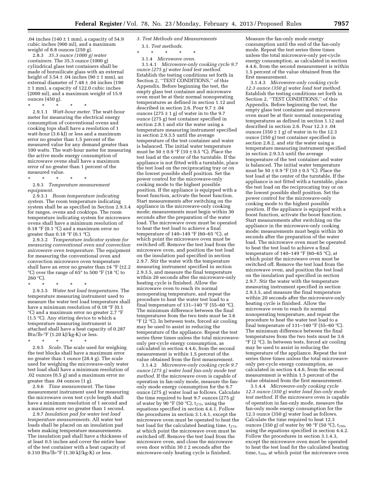.04 inches  $(140 \pm 1 \text{ mm})$ , a capacity of 54.9 cubic inches (900 ml), and a maximum weight of 8.8 ounces (250 g).

2.8.3 *35.3 ounce (1000 g) water containers.* The 35.3 ounce (1000 g) cylindrical glass test containers shall be made of borosilicate glass with an external height of  $3.54 \pm .04$  inches  $(90 \pm 1$  mm), an external diameter of 7.48 ± .04 inches (190 ± 1 mm), a capacity of 122.0 cubic inches (2000 ml), and a maximum weight of 15.9 ounces (450 g).

\* \* \* \* \* 2.9.1.1 *Watt-hour meter.* The watt-hour meter for measuring the electrical energy consumption of conventional ovens and cooking tops shall have a resolution of 1 watt-hour (3.6 kJ) or less and a maximum error no greater than 1.5 percent of the measured value for any demand greater than 100 watts. The watt-hour meter for measuring the active mode energy consumption of microwave ovens shall have a maximum error of no greater than 1 percent of the measured value.

\* \* \* \* \* 2.9.3 *Temperature measurement equipment.* 

2.9.3.1 *Room temperature indicating system.* The room temperature indicating system shall be as specified in Section 2.9.3.4 for ranges, ovens and cooktops. The room temperature indicating system for microwave ovens shall have a minimum resolution of 0.18  $^{\circ}\rm{F}$  (0.1  $^{\circ}\rm{C})$  and a maximum error no greater than  $0.18 \text{ }^{\circ}$ F (0.1  $\text{ }^{\circ}$ C).

2.9.3.2 *Temperature indicator system for measuring conventional oven and convection microwave oven temperature.* The equipment for measuring the conventional oven and convection microwave oven temperature shall have an error no greater than  $\pm 4$  °F ( $\pm 2.2$ °C) over the range of 65° to 500 °F (18 °C to 260 °C).

\* \* \* \* \*

2.9.3.5 *Water test load temperatures.* The temperature measuring instrument used to measure the water test load temperature shall have a minimum resolution of 0.18 °F (0.1 °C) and a maximum error no greater 2.7 °F (1.5 °C). Any stirring device to which a temperature measuring instrument is attached shall have a heat capacity of 0.287 Btu/lb-°F (1.20 kJ/kg-K) or less.

\* \* \* \* \* 2.9.5 *Scale.* The scale used for weighing the test blocks shall have a maximum error no greater than 1 ounce (28.4 g). The scale used for weighing the microwave-only water test load shall have a minimum resolution of .02 ounces (0.5 g) and a maximum error no greater than .04 ounces (1 g).

2.9.6 *Time measurement.* The time measurement instrument used for measuring the microwave oven test cycle length shall have a minimum resolution of 1 second and a maximum error no greater than 1 second.

2.9.7 *Insulation pad for water test load temperature measurements.* All water test loads shall be placed on an insulation pad when making temperature measurements. The insulation pad shall have a thickness of at least 0.5 inches and cover the entire base of the test container with a heat capacity of 0.310 Btu/lb-°F (1.30 kJ/kg-K) or less.

#### *3. Test Methods and Measurements*

3.1. *Test methods.* 

\* \* \* \* \* 3.1.4 *Microwave oven.* 

3.1.4.1 *Microwave-only cooking cycle 9.7 ounce (275 g) water load test method.*  Establish the testing conditions set forth in Section 2, ''TEST CONDITIONS,'' of this Appendix. Before beginning the test, the empty glass test container and microwave oven must be at their normal nonoperating temperatures as defined in section 1.12 and described in section 2.6. Pour 9.7 ± .04 ounces  $(275 \pm 1$  g) of water in to the 9.7 ounce (275 g) test container specified in section 2.8.1 and stir the water using a temperature measuring instrument specified in section 2.9.3.5 until the average temperature of the test container and water is balanced. The initial water temperature must be  $50 \pm 0.9$  °F (10  $\pm$  0.5 °C). Place the test load at the center of the turntable. If the appliance is not fitted with a turntable, place the test load on the reciprocating tray or on the lowest possible shelf position. Set the power control for the microwave-only cooking mode to the highest possible position. If the appliance is equipped with a boost function, activate the boost function. Start measurements after switching on the appliance in the microwave-only cooking mode; measurements must begin within 30 seconds after the preparation of the water load. The microwave oven must be operated to heat the test load to achieve a final temperature of  $140-149$  °F (60-65 °C), at which point the microwave oven must be switched off. Remove the test load from the microwave oven, and position the test load on the insulation pad specified in section 2.9.7. Stir the water with the temperature measuring instrument specified in section 2.9.3.5, and measure the final temperature within 20 seconds after the microwave-only heating cycle is finished. Allow the microwave oven to reach its normal nonoperating temperature, and repeat the procedure to heat the water test load to a  $\rm{final}$  temperature of 131–140 °F (55–60 °C). The minimum difference between the final temperatures from the two tests must be 3.6  ${}^{\circ}F$  (2  ${}^{\circ}C$ ). In between tests, forced air cooling may be used to assist in reducing the temperature of the appliance. Repeat the test series three times unless the total microwaveonly per-cycle energy consumption, as calculated in section 4.4.6, from the second measurement is within 1.5 percent of the value obtained from the first measurement.

3.1.4.2 *Microwave-only cooking cycle 9.7 ounce (275 g) water load fan-only mode test method.* If the microwave oven is capable of operation in fan-only mode, measure the fanonly mode energy consumption for the 9.7 ounce (275 g) water load as follows. Calculate the time required to heat 9.7 ounces (275 g) of water by  $90 °F$  (50 °C), t<sub>275</sub>, using the equations specified in section 4.4.1. Follow the procedures in section 3.1.4.1, except the microwave oven must be operated to heat the test load for the calculated heating time,  $t_{275}$ , at which point the microwave oven must be switched off. Remove the test load from the microwave oven, and close the microwave oven door within  $30 \pm 2$  seconds after the microwave-only heating cycle is finished.

Measure the fan-only mode energy consumption until the end of the fan-only mode. Repeat the test series three times unless the total microwave-only per-cycle energy consumption, as calculated in section 4.4.6, from the second measurement is within 1.5 percent of the value obtained from the first measurement.

3.1.4.3 *Microwave-only cooking cycle 12.3 ounce (350 g) water load test method.*  Establish the testing conditions set forth in Section 2, ''TEST CONDITIONS,'' of this Appendix. Before beginning the test, the empty glass test container and microwave oven must be at their normal nonoperating temperatures as defined in section 1.12 and described in section 2.6. Pour 12.3 ± .04 ounces (350  $\pm$  1 g) of water in to the 12.3 ounce (350 g) test container specified in section 2.8.2, and stir the water using a temperature measuring instrument specified in section 2.9.3.5 until the average temperature of the test container and water is balanced. The initial water temperature must be  $50 \pm 0.9$  °F ( $10 \pm 0.5$  °C). Place the test load at the center of the turntable. If the appliance is not fitted with a turntable, place the test load on the reciprocating tray or on the lowest possible shelf position. Set the power control for the microwave-only cooking mode to the highest possible position. If the appliance is equipped with a boost function, activate the boost function. Start measurements after switching on the appliance in the microwave-only cooking mode; measurements must begin within 30 seconds after the preparation of the water load. The microwave oven must be operated to heat the test load to achieve a final temperature of  $140-149$  °F (60-65 °C), at which point the microwave oven must be switched off. Remove the test load from the microwave oven, and position the test load on the insulation pad specified in section 2.9.7. Stir the water with the temperature measuring instrument specified in section 2.9.3.5, and measure the final temperature within 20 seconds after the microwave-only heating cycle is finished. Allow the microwave oven to reach its normal nonoperating temperature, and repeat the procedure to heat the water test load to a final temperature of 131–140 °F (55–60 °C). The minimum difference between the final temperatures from the two tests must be 3.6 °F (2 °C). In between tests, forced air cooling may be used to assist in reducing the temperature of the appliance. Repeat the test series three times unless the total microwaveonly per-cycle energy consumption, as calculated in section 4.4.6, from the second measurement is within 1.5 percent of the value obtained from the first measurement.

3.1.4.4 *Microwave-only cooking cycle 12.3 ounce (350 g) water load fan-only mode test method.* If the microwave oven is capable of operation in fan-only mode, measure the fan-only mode energy consumption for the 12.3 ounce (350 g) water load as follows. Calculate the time required to heat 12.3 ounces (350 g) of water by 90 °F (50 °C),  $t_{350}$ , using the equations specified in section 4.4.2. Follow the procedures in section 3.1.4.3, except the microwave oven must be operated to heat the test load for the calculated heating time, t<sub>350</sub>, at which point the microwave oven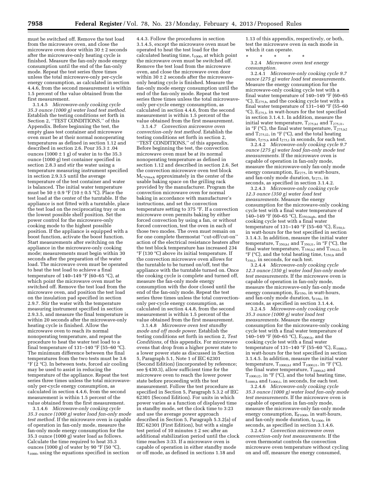must be switched off. Remove the test load from the microwave oven, and close the microwave oven door within  $30 \pm 2$  seconds after the microwave-only heating cycle is finished. Measure the fan-only mode energy consumption until the end of the fan-only mode. Repeat the test series three times unless the total microwave-only per-cycle energy consumption, as calculated in section 4.4.6, from the second measurement is within 1.5 percent of the value obtained from the first measurement.

3.1.4.5 *Microwave-only cooking cycle 35.3 ounce (1000 g) water load test method.*  Establish the testing conditions set forth in Section 2, ''TEST CONDITIONS,'' of this Appendix. Before beginning the test, the empty glass test container and microwave oven must be at their normal nonoperating temperatures as defined in section 1.12 and described in section 2.6. Pour 35.3 ± .04 ounces  $(1000 \pm 1$  g) of water in to the 35.3 ounce (1000 g) test container specified in section 2.8.3 and stir the water using a temperature measuring instrument specified in section 2.9.3.5 until the average temperature of the test container and water is balanced. The initial water temperature must be  $50 \pm 0.9$  °F (10  $\pm$  0.5 °C). Place the test load at the center of the turntable. If the appliance is not fitted with a turntable, place the test load on the reciprocating tray or on the lowest possible shelf position. Set the power control for the microwave-only cooking mode to the highest possible position. If the appliance is equipped with a boost function, activate the boost function. Start measurements after switching on the appliance in the microwave-only cooking mode; measurements must begin within 30 seconds after the preparation of the water load. The microwave oven must be operated to heat the test load to achieve a final temperature of  $140-149$  °F (60–65 °C), at which point the microwave oven must be switched off. Remove the test load from the microwave oven, and position the test load on the insulation pad specified in section 2.9.7. Stir the water with the temperature measuring instrument specified in section 2.9.3.5, and measure the final temperature is within 20 seconds after the microwave-only heating cycle is finished. Allow the microwave oven to reach its normal nonoperating temperature, and repeat the procedure to heat the water test load to a final temperature of  $131-140$  °F (55-60 °C). The minimum difference between the final temperatures from the two tests must be 3.6  $\mathrm{P}F(\bar{2} \mathrm{C})$ . In between tests, forced air cooling may be used to assist in reducing the temperature of the appliance. Repeat the test series three times unless the total microwaveonly per-cycle energy consumption, as calculated in section 4.4.6, from the second measurement is within 1.5 percent of the value obtained from the first measurement.

3.1.4.6 *Microwave-only cooking cycle 35.3 ounce (1000 g) water load fan-only mode test method.* If the microwave oven is capable of operation in fan-only mode, measure the fan-only mode energy consumption for the 35.3 ounce (1000 g) water load as follows. Calculate the time required to heat 35.3 ounces (1000 g) of water by 90 °F (50 °C),  $t_{1000}$ , using the equations specified in section

4.4.3. Follow the procedures in section 3.1.4.5, except the microwave oven must be operated to heat the test load for the calculated heating time,  $t_{1000}$ , at which point the microwave oven must be switched off. Remove the test load from the microwave oven, and close the microwave oven door within  $30 \pm 2$  seconds after the microwaveonly heating cycle is finished. Measure the fan-only mode energy consumption until the end of the fan-only mode. Repeat the test series three times unless the total microwaveonly per-cycle energy consumption, as calculated in section 4.4.6, from the second measurement is within 1.5 percent of the value obtained from the first measurement.

3.1.4.7 *Convection microwave oven convection-only test method.* Establish the testing conditions set forth in section 2, ''TEST CONDITIONS,'' of this appendix. Before beginning the test, the convection microwave oven must be at its normal nonoperating temperature as defined in section 1.12 and described in section 2.6. Set the convection microwave oven test block MCVblock approximately in the center of the usable baking space on the grilling rack provided by the manufacturer. Program the convection microwave oven for normal baking in accordance with manufacturer's instructions, and set the convection temperature setting to 375 °F. If a convection microwave oven permits baking by either forced convection by using a fan, or without forced convection, test the oven in each of those two modes. The oven must remain on for one complete thermostat ''cut-off/cut-on'' action of the electrical resistance heaters after the test block temperature has increased 234 °F (130 °C) above its initial temperature. If the convection microwave oven allows for the turntable to be turned on/off, test the appliance with the turntable turned on. Once the cooking cycle is complete and turned off, measure the fan-only mode energy consumption with the door closed until the end of the fan-only mode. Repeat the test series three times unless the total convectiononly per-cycle energy consumption, as calculated in section 4.4.8, from the second measurement is within 1.5 percent of the value obtained from the first measurement.

3.1.4.8 *Microwave oven test standby mode and off mode power.* Establish the testing conditions set forth in section 2, *Test Conditions,* of this appendix. For microwave ovens that drop from a higher power state to a lower power state as discussed in Section 5, Paragraph 5.1, Note 1 of IEC 62301 (Second Edition) (incorporated by reference; see § 430.3), allow sufficient time for the microwave oven to reach the lower power state before proceeding with the test measurement. Follow the test procedure as specified in Section 5, Paragraph 5.3.2 of IEC 62301 (Second Edition). For units in which power varies as a function of displayed time in standby mode, set the clock time to 3:23 and use the average power approach described in Section 5, Paragraph 5.3.2(a) of IEC 62301 (First Edition), but with a single test period of 10 minutes ± 2 sec after an additional stabilization period until the clock time reaches 3:33. If a microwave oven is capable of operation in either standby mode or off mode, as defined in sections 1.18 and

1.13 of this appendix, respectively, or both, test the microwave oven in each mode in which it can operate.

\* \* \* \* \* 3.2.4 *Microwave oven test energy* 

*consumption.*  3.2.4.1 *Microwave-only cooking cycle 9.7* 

*ounce (275 g) water load test measurements.*  Measure the energy consumption for the microwave-only cooking cycle test with a final water temperature of 140–149 °F (60–65  $^{\circ}$ C), E<sub>275,h</sub>, and the cooking cycle test with a final water temperature of 131–140 °F (55–60  $°C$ ), E<sub>275,1</sub>, in watt-hours for the test specified in section 3.1.4.1. In addition, measure the initial water temperature,  $T_{275,h1}$  and  $T_{275,11}$ , in  ${}^{\circ}$ F ( ${}^{\circ}$ C), the final water temperature,  $T_{275,h2}$ and  $T_{275,12}$ , in °F (°C), and the total heating time,  $t_{275,h}$  and  $t_{275,l}$  in seconds, for each test.

3.2.4.2 *Microwave-only cooking cycle 9.7 ounce (275 g) water load fan-only mode test measurements.* If the microwave oven is capable of operation in fan-only mode, measure the microwave-only fan-only mode energy consumption,  $E_{F275}$ , in watt-hours, and fan-only mode duration,  $t_{F275}$ , in seconds, as specified in section 3.1.4.2.

3.2.4.3 *Microwave-only cooking cycle 12.3 ounce (350 g) water load test measurements.* Measure the energy consumption for the microwave-only cooking cycle test with a final water temperature of 140–149 °F (60–65 °C),  $E_{350, high}$ , and the cooking cycle test with a final water temperature of 131–140 °F (55–60 °C),  $E_{350,1}$ , in watt-hours for the test specified in section 3.1.4.3. In addition, measure the initial water temperature,  $T_{350, h1}$  and  $T_{350, 11}$ , in °F (°C), the final water temperature,  $T_{350,h2}$  and  $T_{350,h2}$ , in  $\mathrm{P}F$  ( $\mathrm{C}C$ ), and the total heating time, t<sub>350,h</sub> and  $t_{350,1}$ , in seconds, for each test.

3.2.4.4 *Microwave-only cooking cycle 12.3 ounce (350 g) water load fan-only mode test measurements.* If the microwave oven is capable of operation in fan-only mode, measure the microwave-only fan-only mode energy consumption,  $E_{F350}$ , in watt-hours, and fan-only mode duration,  $t_{F350}$ , in seconds, as specified in section 3.1.4.4.

3.2.4.5 *Microwave-only cooking cycle 35.3 ounce (1000 g) water load test measurements.* Measure the energy consumption for the microwave-only cooking cycle test with a final water temperature of 140–149 °F (60–65 °C), E1000,h, and the cooking cycle test with a final water temperature of 131–140 °F (55–60 °C),  $E_{1000,1}$ , in watt-hours for the test specified in section 3.1.4.5. In addition, measure the initial water temperature,  $T_{1000, h1}$  and  $T_{1000, 11}$ , in °F (°C), the final water temperature,  $T_{1000,h2}$  and  $T_{1000,12}$ , in  ${}^{\circ}$ F ( ${}^{\circ}$ C), and the total heating time,  $t<sub>1000,h</sub>$  and  $t<sub>1000,l</sub>$ , in seconds, for each test.

3.2.4.6 *Microwave-only cooking cycle 35.3 ounce (1000 g) water load fan-only mode test measurements.* If the microwave oven is capable of operation in fan-only mode, measure the microwave-only fan-only mode energy consumption,  $E_{F1000}$ , in watt-hours, and fan-only mode duration,  $t_{F1000}$ , in seconds, as specified in section 3.1.4.6.

3.2.4.7 *Convection microwave oven convection-only test measurements.* If the oven thermostat controls the convection microwave oven temperature without cycling on and off, measure the energy consumed,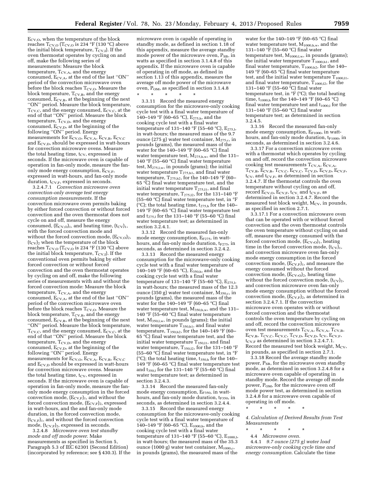ECV,O, when the temperature of the block reaches  $\rm T_{\rm CV,O}$  (T $\rm_{\rm CV,O}$  is 234  $^{\circ}{\rm F}$  (130  $^{\circ}{\rm C})$  above the initial block temperature,  $T_{CV,I}$ ). If the oven thermostat operates by cycling on and off, make the following series of measurements: Measure the block temperature,  $T_{CV,A}$ , and the energy consumed,  $E_{CV,A}$ , at the end of the last "ON" period of the convection microwave oven before the block reaches  $T_{CV,O}$ . Measure the block temperature,  $T_{CV,B}$ , and the energy consumed,  $E_{CV,B}$ , at the beginning of the next ''ON'' period. Measure the block temperature,  $T_{\rm CV,C}$ , and the energy consumed,  $E_{\rm CV,C}$ , at the end of that ''ON'' period. Measure the block temperature,  $T_{CV,D}$ , and the energy consumed,  $E_{\text{CV},D}$ , at the beginning of the following ''ON'' period. Energy measurements for E<sub>CV,O</sub>, E<sub>CV,A</sub>, E<sub>CV,B</sub>, E<sub>CV,C</sub> and  $E_{CV,D}$ , should be expressed in watt-hours for convection microwave ovens. Measure the total heating time,  $t_{CV}$ , expressed in seconds. If the microwave oven is capable of operation in fan-only mode, measure the fanonly mode energy consumption,  $E_{\text{CV,F}}$ , expressed in watt-hours, and fan-only mode duration,  $t_{CV,F}$ , expressed in seconds.

3.2.4.7.1 *Convection microwave oven convection-only average test energy consumption measurements.* If the convection microwave oven permits baking by either forced convection or without forced convection and the oven thermostat does not cycle on and off, measure the energy consumed,  $(E_{CV,O})_1$ , and heating time,  $(t_{CV})_1$ , with the forced convection mode and without the forced convection mode,  $(E_{\rm{CV,O}})_2$ ,  $(t_{CV})$ <sub>2</sub> when the temperature of the block reaches  $T_{\rm CV,O}$  ( $T_{\rm CV,O}$  is 234 °F (130 °C) above the initial block temperature,  $T_{CV,I}$ ). If the conventional oven permits baking by either forced convection or without forced convection and the oven thermostat operates by cycling on and off, make the following series of measurements with and without the forced convection mode: Measure the block temperature,  $T_{CV,A}$ , and the energy consumed, E<sub>CV,A</sub>, at the end of the last "ON" period of the convection microwave oven before the block reaches  $T_{\rm CV,O}$ . Measure the block temperature,  $T_{CV,B}$ , and the energy consumed,  $E_{\text{CV},B}$ , at the beginning of the next ''ON'' period. Measure the block temperature,  $T_{\rm CV,C}$ , and the energy consumed,  $E_{\rm CV,C}$ , at the end of that ''ON'' period. Measure the block temperature,  $T_{CV,D}$ , and the energy consumed,  $\rm E_{\rm CV,D}$ , at the beginning of the following ''ON'' period. Energy measurements for E<sub>CV,O</sub>, E<sub>CV,A</sub>, E<sub>CV,B</sub>, E<sub>CV,C</sub> and E<sub>CV,D</sub> should be expressed in watt-hours for convection microwave ovens. Measure the total heating time,  $t_{CV}$ , expressed in seconds. If the microwave oven is capable of operation in fan-only mode, measure the fanonly mode energy consumption in the forced convection mode,  $(E_{CV,F})_1$ , and without the forced convection mode,  $(E_{CV,F})_2$ , expressed in watt-hours, and the and fan-only mode duration, in the forced convection mode,  $(t_{CV,F})_1$ , and without the forced convection mode,  $(t_{CV,F})_2$ , expressed in seconds.

3.2.4.8 *Microwave oven test standby mode and off mode power.* Make measurements as specified in Section 5, Paragraph 5.3 of IEC 62301 (Second Edition) (incorporated by reference; see § 430.3). If the microwave oven is capable of operating in standby mode, as defined in section 1.18 of this appendix, measure the average standby mode power of the microwave oven, P<sub>SB</sub>, in watts as specified in section 3.1.4.8 of this appendix. If the microwave oven is capable of operating in off mode, as defined in section 1.13 of this appendix, measure the average off mode power of the microwave oven,  $P_{OM}$ , as specified in section 3.1.4.8

\* \* \* \* \* 3.3.11 Record the measured energy consumption for the microwave-only cooking cycle test with a final water temperature of 140–149 °F (60–65 °C),  $E_{275,h}$ , and the cooking cycle test with a final water temperature of 131–140 °F (55–60 °C), E<sub>275,1</sub>, in watt-hours; the measured mass of the 9.7 ounce (275 g) water test container,  $M_{275,c}$ , in pounds (grams), the measured mass of the water for the 140–149 °F (60–65 °C) final water temperature test,  $M_{275,h,w}$ , and the 131– 140 °F (55–60 °C) final water temperature test,  $M_{275,l,w}$ , in pounds (grams); the initial water temperature  $T_{275,h1}$ , and final water temperature,  $T_{275,h2}$ , for the 140–149 °F (60– 65 °C) final water temperature test, and the initial water temperature  $T_{275,11}$ , and final water temperature, T275,12, for the 131–140  $^{\circ}\!F$ (55–60 °C) final water temperature test, in  $\mathrm{P}F$ ( $^{\circ}$ C); the total heating time, t<sub>275,h</sub> for the 140– 149 °F (60–65 °C) final water temperature test and t<sub>275,1</sub> for the 131–140 °F (55–60 °C) final water temperature test; as determined in section 3.2.4.1.

3.3.12 Record the measured fan-only mode energy consumption,  $E_{F275}$ , in watthours, and fan-only mode duration,  $t_{F275}$ , in seconds, as determined in section 3.2.4.2.

3.3.13 Record the measured energy consumption for the microwave-only cooking cycle test with a final water temperature of 140–149 °F (60–65 °C), E350,h, and the cooking cycle test with a final water temperature of 131–140 °F (55–60 °C),  $E_{275,l}$ , in watt-hours; the measured mass of the 12.3 ounce (350 g) water test container,  $M_{350,c}$ , in pounds (grams), the measured mass of the water for the 140–149 °F (60–65 °C) final water temperature test, M350,h,w, and the 131– 140 °F (55–60 °C) final water temperature test,  $M_{350,l,w}$ , in pounds (grams); the initial water temperature T350,h1, and final water temperature,  $T_{350,h2}$ , for the 140–149 °F (60– 65 °C) final water temperature test, and the initial water temperature  $T_{350,11}$ , and final water temperature, T<sub>350,12</sub>, for the 131-140 °F (55–60 °C) final water temperature test, in  $\mathrm{P}F$ ( $^{\circ}$ C); the total heating time, t<sub>350,h</sub> for the 140– 149 °F (60–65 °C) final water temperature test and t<sub>350,1</sub> for the 131–140 °F (55–60 °C) final water temperature test; as determined in section 3.2.4.3.

3.3.14 Record the measured fan-only mode energy consumption, EF350, in watthours, and fan-only mode duration,  $t_{F350}$ , in seconds, as determined in section 3.2.4.4.

3.3.15 Record the measured energy consumption for the microwave-only cooking cycle test with a final water temperature of 140–149 °F (60–65 °C),  $E_{1000,h}$ , and the cooking cycle test with a final water temperature of 131-140 °F (55-60 °C), E<sub>1000,1</sub>, in watt-hours; the measured mass of the 35.3 ounce (1000 g) water test container, M<sub>1000,c</sub>, in pounds (grams), the measured mass of the

water for the 140–149 °F (60–65 °C) final water temperature test,  $\mathrm{M}_{1000,\mathrm{h},\mathrm{w}},$  and the 131–140 °F (55–60 °C) final water temperature test,  $M_{1000,l,w}$ , in pounds (grams); the initial water temperature  $T_{1000, h1}$ , and final water temperature,  $T_{1000,h2}$ , for the 140– 149 °F (60–65 °C) final water temperature test, and the initial water temperature  $T_{1000,11}$ , and final water temperature,  $T_{1000,12}$ , for the 131–140 °F (55–60 °C) final water temperature test, in °F (°C); the total heating time, t<sub>1000,h</sub> for the 140–149 °F (60–65 °C) final water temperature test and  $t_{1000,1}$  for the 131–140 °F (55–60 °C) final water temperature test; as determined in section 3.2.4.5.

3.3.16 Record the measured fan-only mode energy consumption,  $E_{F1000}$ , in watthours, and fan-only mode duration,  $t_{F1000}$ , in seconds, as determined in section 3.2.4.6.

3.3.17 For a convection microwave oven with a thermostat which operates by cycling on and off, record the convection microwave cooking test measurements  $T_{CV,A}$ ,  $E_{CV,A}$ ,  $T_{CV.B}, \tilde{E}_{CV.B}, T_{CV.C}, E_{CV.C}, T_{CV.D}, E_{CV.D}, E_{CV.F},$  $t_{CV}$ , and  $t_{CV,F}$ , as determined in section 3.2.4.7. If the thermostat controls the oven temperature without cycling on and off, record Ecv,o, Ecv,F, tcv, and tcv,F, as determined in section 3.2.4.7. Record the measured test block weight, Mcv, in pounds, as specified in section 2.7.1.

3.3.17.1 For a convection microwave oven that can be operated with or without forced convection and the oven thermostat controls the oven temperature without cycling on and off, measure the energy consumed with the forced convection mode,  $(E_{CV,O})_1$ , heating time in the forced convection mode,  $(t_{CV})_1$ , and convection microwave oven fan-only mode energy consumption in the forced convection mode,  $(E_{CV,F})_1$ , and measure the energy consumed without the forced convection mode,  $(E_{CV,O})_2$ , heating time without the forced convection mode,  $(t_{CV})_2$ , and convection microwave oven fan-only mode energy consumption without the forced convection mode,  $(E_{CV,F})_2$ , as determined in section 3.2.4.7.1. If the convection microwave oven operates with or without forced convection and the thermostat controls the oven temperature by cycling on and off, record the convection microwave oven test measurements  $T_{\rm CV,A}, E_{\rm CV,A}, T_{\rm CV,B},$  $E_{CV,B}$ ,  $T_{CV,C}$ ,  $E_{CV,C}$ ,  $T_{CV,D}$ ,  $E_{CV,D}$ ,  $t_{CV}$ ,  $E_{CV,F}$ ,  $t_{\text{CV,F}}$  as determined in section 3.2.4.7.1. Record the measured test block weight,  $M_{CV}$ , in pounds, as specified in section 2.7.1.

3.3.18 Record the average standby mode power,  $P_{SB}$ , for the microwave oven standby mode, as determined in section 3.2.4.8 for a microwave oven capable of operating in standby mode. Record the average off mode power, P<sub>OM</sub>, for the microwave oven off mode power test, as determined in section 3.2.4.8 for a microwave oven capable of operating in off mode.

\* \* \* \* \*

*4. Calculation of Derived Results from Test Measurements* 

- \* \* \* \* \*
- 4.4 *Microwave oven.*

4.4.1 *9.7 ounce (275 g) water load microwave-only cooking cycle time and energy consumption.* Calculate the time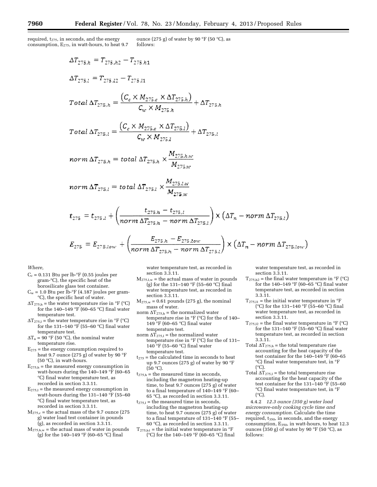required,  $t_{275}$ , in seconds, and the energy consumption,  $E_{275}$ , in watt-hours, to heat 9.7 ounce (275 g) of water by 90 °F (50 °C), as follows:

$$
\Delta T_{275,h} = T_{275,h2} - T_{275,h1}
$$
\n
$$
\Delta T_{275,l} = T_{275,h2} - T_{275,h1}
$$
\n
$$
Total \Delta T_{275,h} = \frac{(C_c \times M_{275,c} \times \Delta T_{275,h})}{C_w \times M_{275,h}} + \Delta T_{275,h}
$$
\n
$$
Total \Delta T_{275,l} = \frac{(C_c \times M_{275,c} \times \Delta T_{275,l})}{C_w \times M_{275,l}} + \Delta T_{275,l}
$$

$$
norm \Delta T_{275,h} = total \Delta T_{275,h} \times \frac{M_{275,h,w}}{M_{275,w}}
$$

$$
norm \Delta T_{275,l} = total \Delta T_{275,l} \times \frac{M_{275,l,w}}{M_{275,w}}
$$

$$
t_{275} = t_{275,l} + \left(\frac{t_{275,h} - t_{275,l}}{norm \Delta T_{275,h} - norm \Delta T_{275,l}}\right) \times \left(\Delta T_n - norm \Delta T_{275,l}\right)
$$

$$
E_{275} = E_{275,low} + \left(\frac{E_{275,h} - E_{275,low}}{norm \,\Delta T_{275,h} - norm \,\Delta T_{275,l}}\right) \times \left(\Delta T_n - norm \,\Delta T_{275,low}\right)
$$

*Where,* 

- $C_c = 0.131$  Btu per lb- $\degree$ F (0.55 joules per gram-°C), the specific heat of the borosilicate glass test container.
- $C_w = 1.0$  Btu per lb- $\degree$ F (4.187 joules per gram-°C), the specific heat of water.
- $\Delta T_{275,h}$  = the water temperature rise in °F (°C) for the 140–149  $^{\circ}\mathrm{F}$  (60–65  $^{\circ}\mathrm{C})$  final water temperature test.
- $\Delta T_{275,l}$  = the water temperature rise in °F (°C) for the 131–140 °F (55–60 °C) final water temperature test.
- $\Delta T_n = 90$  °F (50 °C), the nominal water temperature rise.
- $E_{275}$  = the energy consumption required to heat 9.7 ounce (275 g) of water by 90 °F (50  $^{\circ}$ C), in watt-hours.
- $E_{275,h}$  = the measured energy consumption in watt-hours during the  $140-149$  °F (60-65 °C) final water temperature test, as recorded in section 3.3.11.
- $E_{275,1}$  = the measured energy consumption in watt-hours during the 131–140 °F (55–60 °C) final water temperature test, as recorded in section 3.3.11.
- $M_{275,c}$  = the actual mass of the 9.7 ounce (275 g) water load test container in pounds (g), as recorded in section 3.3.11.
- $M_{275,h,w}$  = the actual mass of water in pounds (g) for the 140–149 °F (60–65 °C) final

water temperature test, as recorded in section 3.3.11.

- $M_{275,l,w}$  = the actual mass of water in pounds (g) for the 131–140 °F (55–60 °C) final water temperature test, as recorded in section 3.3.11.
- $M<sub>275,w</sub> = 0.61$  pounds (275 g), the nominal mass of water.
- norm $\Delta T_{275,h}$  = the normalized water temperature rise in °F (°C) for the of 140– 149 °F (60–65 °C) final water temperature test.
- norm  $\Delta T_{275,1}$  = the normalized water temperature rise in °F (°C) for the of 131–  $140^{\circ}$ F (55–60 °C) final water temperature test.
- $t_{275}$  = the calculated time in seconds to heat up 9.7 ounces (275 g) of water by 90 °F  $(50 °C)$ .
- $t_{275,h}$  = the measured time in seconds, including the magnetron heating-up time, to heat 9.7 ounces (275 g) of water to a final temperature of 140–149 °F (60– 65 °C), as recorded in section 3.3.11.
- $t_{275,1}$  = the measured time in seconds, including the magnetron heating-up time, to heat 9.7 ounces (275 g) of water to a final temperature of 131–140 °F (55– 60 °C), as recorded in section 3.3.11.
- $T_{275, h1}$  = the initial water temperature in  ${}^{\circ}F$ (°C) for the 140–149 °F (60–65 °C) final

water temperature test, as recorded in section 3.3.11.

- $T_{275,h2}$  = the final water temperature in  ${}^{\circ}$ F ( ${}^{\circ}$ C) for the 140–149 °F (60–65 °C) final water temperature test, as recorded in section 3.3.11.
- $\mathrm{T}_{275,\mathrm{l1}}$  = the initial water temperature in  $^\mathrm{o}\mathrm{F}$ (°C) for the 131–140 °F (55–60 °C) final water temperature test, as recorded in section 3.3.11.
- $T_{275,12}$  = the final water temperature in °F (°C) for the 131–140 °F (55–60 °C) final water temperature test, as recorded in section 3.3.11.
- Total  $\Delta T_{275,h}$  = the total temperature rise accounting for the heat capacity of the test container for the 140–149 °F (60–65 °C) final water temperature test, in °F  $(°C)$ .
- Total  $\Delta T_{275,l}$  = the total temperature rise accounting for the heat capacity of the test container for the 131–140 °F (55–60 °C) final water temperature test, in °F  $(^{\circ}C)$ .

4.4.2 *12.3 ounce (350 g) water load microwave-only cooking cycle time and energy consumption.* Calculate the time required,  $t_{350}$ , in seconds, and the energy consumption, E350, in watt-hours, to heat 12.3 ounces (350 g) of water by 90 °F (50 °C), as follows: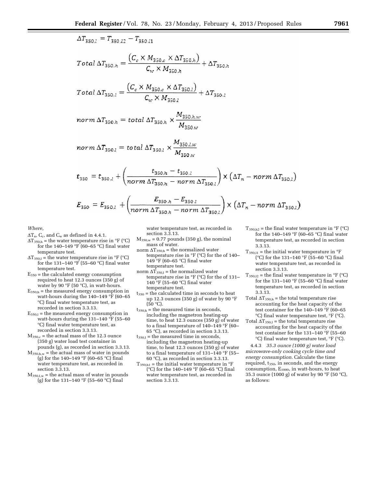$$
\Delta T_{350,l} = T_{350,l2} - T_{350,l1}
$$

$$
Total \Delta T_{350,h} = \frac{(C_c \times M_{350,c} \times \Delta T_{350,h})}{C_w \times M_{350,h}} + \Delta T_{350,h}
$$

$$
Total \Delta T_{350,l} = \frac{\left(C_c \times M_{350,c} \times \Delta T_{350,l}\right)}{C_w \times M_{350,l}} + \Delta T_{350,l}
$$

$$
norm \,\Delta T_{350,h} = total \,\Delta T_{350,h} \times \frac{M_{350,h,w}}{M_{350,w}}
$$

$$
norm \ \Delta T_{350,l} = total \ \Delta T_{350,l} \times \frac{M_{350,l,w}}{M_{350,w}}
$$

$$
t_{350} = t_{350,l} + \left(\frac{t_{350,h} - t_{350,l}}{norm\,\Delta T_{350,h} - norm\,\Delta T_{350,l}}\right) \times \left(\Delta T_n - norm\,\Delta T_{350,l}\right)
$$

$$
E_{350} = E_{350,l} + \left(\frac{E_{350,h} - E_{350,l}}{norm \Delta T_{350,h} - norm \Delta T_{350,l}}\right) \times \left(\Delta T_n - norm \Delta T_{350,l}\right)
$$

*Where,* 

- $\Delta T_n$ , C<sub>c</sub>, and C<sub>w</sub> as defined in 4.4.1.
- $\Delta T_{350,h}$  = the water temperature rise in °F (°C) for the 140–149  $\mathrm{P}$  (60–65 °C) final water temperature test.
- $\Delta T_{350,1}$  = the water temperature rise in °F (°C) for the 131–140  $\mathrm{P}\mathrm{F}$  (55–60  $\mathrm{C}$ ) final water temperature test.
- $E_{350}$  = the calculated energy consumption required to heat 12.3 ounces (350 g) of water by 90 °F (50 °C), in watt-hours.
- $E_{350,h}$  = the measured energy consumption in watt-hours during the 140–149 °F (60–65 °C) final water temperature test, as recorded in section 3.3.13.
- $E_{350,1}$  = the measured energy consumption in watt-hours during the 131–140 °F (55–60 °C) final water temperature test, as recorded in section 3.3.13.
- $M_{350,c}$  = the actual mass of the 12.3 ounce (350 g) water load test container in pounds (g), as recorded in section 3.3.13.
- $M_{350,h,w}$  = the actual mass of water in pounds (g) for the 140–149 °F (60–65 °C) final water temperature test, as recorded in section 3.3.13.
- $M_{350,l,w}$  = the actual mass of water in pounds (g) for the 131–140 °F (55–60 °C) final

water temperature test, as recorded in section 3.3.13.

- $M_{350,w} = 0.77$  pounds (350 g), the nominal mass of water. norm  $\Delta T_{350,h}$  = the normalized water
- temperature rise in °F (°C) for the of 140– 149 °F (60–65 °C) final water temperature test.
- norm $\Delta T_{350,\rm l}$  = the normalized water temperature rise in °F (°C) for the of 131– 140 °F (55–60 °C) final water temperature test.
- $t_{350}$  = the calculated time in seconds to heat up 12.3 ounces (350 g) of water by 90 °F  $(50 °C)$ .
- $t_{350,h}$  = the measured time in seconds, including the magnetron heating-up time, to heat 12.3 ounces (350 g) of water to a final temperature of 140–149 °F (60– 65 °C), as recorded in section 3.3.13.
- ${\rm t}_{350, {\rm l}} =$  the measured time in seconds, including the magnetron heating-up time, to heat 12.3 ounces (350 g) of water to a final temperature of 131–140 °F (55– 60 °C), as recorded in section 3.3.13.
- $T_{350,h1}$  = the initial water temperature in  $\mathrm{P}F$ (°C) for the 140–149 °F (60–65 °C) final water temperature test, as recorded in section 3.3.13.
- $T_{350,h2}$  = the final water temperature in °F (°C) for the 140–149 °F (60–65 °C) final water temperature test, as recorded in section 3.3.13.
- $T_{350,11}$  = the initial water temperature in  $\mathrm{P}F$ (°C) for the 131–140 °F (55–60 °C) final water temperature test, as recorded in section 3.3.13.
- $T_{350,12}$  = the final water temperature in °F (°C) for the 131–140 °F (55–60 °C) final water temperature test, as recorded in section 3.3.13.
- Total  $\Delta T_{350,h}$  = the total temperature rise accounting for the heat capacity of the test container for the 140–149 °F (60–65 °C) final water temperature test, °F (°C).
- Total  $\Delta$ T<sub>350,1</sub> = the total temperature rise accounting for the heat capacity of the test container for the 131–140 °F (55–60 °C) final water temperature test, °F (°C).

4.4.3 *35.3 ounce (1000 g) water load microwave-only cooking cycle time and energy consumption.* Calculate the time required, t<sub>350</sub>, in seconds, and the energy consumption, E1000, in watt-hours, to heat 35.3 ounce (1000 g) of water by 90 °F (50 °C), as follows: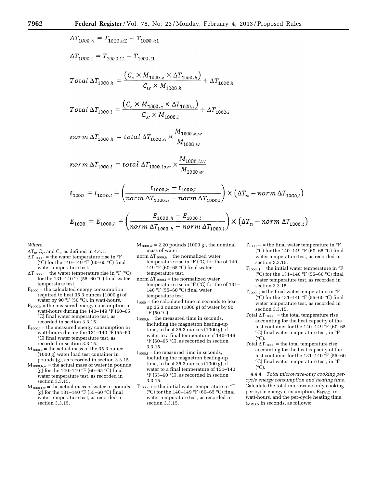$$
\Delta T_{1000,h} = T_{1000,h2} - T_{1000,h1}
$$
\n
$$
\Delta T_{1000,l} = T_{1000,l2} - T_{1000,l1}
$$
\n
$$
Total \Delta T_{1000,h} = \frac{(C_c \times M_{1000,c} \times \Delta T_{1000,h})}{C_w \times M_{1000,h}} + \Delta T_{1000,h}
$$
\n
$$
Total \Delta T_{1000,l} = \frac{(C_c \times M_{1000,c} \times \Delta T_{1000,l})}{C_w \times M_{1000,l}} + \Delta T_{1000,h}
$$
\n
$$
norm \Delta T_{1000,h} = total \Delta T_{1000,h} \times \frac{M_{1000,h,w}}{M_{1000,w}}
$$
\n
$$
norm \Delta T_{1000,l} = total \Delta T_{1000,low} \times \frac{M_{1000,hw}}{M}
$$

$$
t_{1000,w}
$$

$$
t_{1000} = t_{1000,l} + \left(\frac{t_{1000,h} - t_{1000,l}}{norm \Delta T_{1000,h} - norm \Delta T_{1000,l}}\right) \times \left(\Delta T_n - norm \Delta T_{1000,l}\right)
$$

$$
E_{1000} = E_{1000,l} + \left(\frac{E_{1000,h} - E_{1000,l}}{norm \Delta T_{1000,h} - norm \Delta T_{1000,l}}\right) \times \left(\Delta T_n - norm \Delta T_{1000,l}\right)
$$

*Where,* 

- $\Delta T_n$ , C<sub>c</sub>, and C<sub>w</sub> as defined in 4.4.1.
- $\Delta T_{1000,h}$  = the water temperature rise in  $\mathrm{P}F$ (°C) for the 140–149 °F (60–65 °C) final water temperature test.
- $\Delta T_{1000,1}$  = the water temperature rise in °F (°C) for the 131–140  $\mathrm{F}$  (55–60  $\mathrm{C}$ ) final water temperature test.
- $E_{1000}$  = the calculated energy consumption required to heat 35.3 ounces (1000 g) of water by 90 °F (50 °C), in watt-hours.
- $E_{1000,h}$  = the measured energy consumption in watt-hours during the 140–149 °F (60–65 °C) final water temperature test, as recorded in section 3.3.15.
- $E_{1000,1}$  = the measured energy consumption in watt-hours during the  $131-140$  °F (55–60) °C) final water temperature test, as recorded in section 3.3.15.
- $M_{1000,c}$  = the actual mass of the 35.3 ounce (1000 g) water load test container in pounds (g), as recorded in section 3.3.15.
- $M_{1000,h,w}$  = the actual mass of water in pounds (g) for the 140–149 °F (60–65 °C) final water temperature test, as recorded in section 3.3.15.
- $M_{1000,1,w}$  = the actual mass of water in pounds (g) for the 131–140 °F (55–60 °C) final water temperature test, as recorded in section 3.3.15.
- $M_{1000,w} = 2.20$  pounds (1000 g), the nominal mass of water.
- norm  $\Delta T_{1000,h}$  = the normalized water temperature rise in °F (°C) for the of 140– 149 °F (60–65 °C) final water temperature test.
- norm $\Delta T_{1000,l}$  = the normalized water temperature rise in °F (°C) for the of 131– 140 °F (55–60 °C) final water temperature test.
- $t_{1000}$  = the calculated time in seconds to heat up 35.3 ounces (1000 g) of water by 90  $\mathrm{^{\circ}F}$  (50  $\mathrm{^{\circ}C}$ ).
- $t_{1000,h}$  = the measured time in seconds, including the magnetron heating-up time, to heat 35.3 ounces (1000 g) of water to a final temperature of 140–149 °F (60–65 °C), as recorded in section 3.3.15.
- $t_{1000,1}$  = the measured time in seconds, including the magnetron heating-up time, to heat 35.3 ounces (1000 g) of water to a final temperature of 131–140 °F (55–60 °C), as recorded in section 3.3.15.
- $T_{1000, h1}$  = the initial water temperature in  $\mathrm{P}F$ ( $^{\circ}$ C) for the 140–149  $^{\circ}$ F (60–65  $^{\circ}$ C) final water temperature test, as recorded in section 3.3.15.
- $T_{1000,h2}$  = the final water temperature in  $\mathrm{P}F$ (°C) for the 140–149 °F (60–65 °C) final water temperature test, as recorded in section 3.3.15.
- $\rm T_{1000,11}$  = the initial water temperature in  $\rm ^oF$ (°C) for the 131–140 °F (55–60 °C) final water temperature test, as recorded in section 3.3.15.
- $T_{1000,12}$  = the final water temperature in  $\mathrm{P}F$ (°C) for the 131–140 °F (55–60 °C) final water temperature test, as recorded in section 3.3.15.
- Total  $\Delta T_{1000,h}$  = the total temperature rise accounting for the heat capacity of the test container for the 140–149 °F (60–65 °C) final water temperature test, in °F  $(^{\circ}C).$
- Total  $\Delta T_{1000,1}$  = the total temperature rise accounting for the heat capacity of the test container for the 131–140 °F (55–60 °C) final water temperature test, in °F  $(^{\circ}C)$ .

4.4.4 *Total microwave-only cooking percycle energy consumption and heating time.*  Calculate the total microwave-only cooking per-cycle energy consumption,  $\rm E_{MW,C},$  in watt-hours, and the per-cycle heating time,  $t_{MW,C}$ , in seconds, as follows: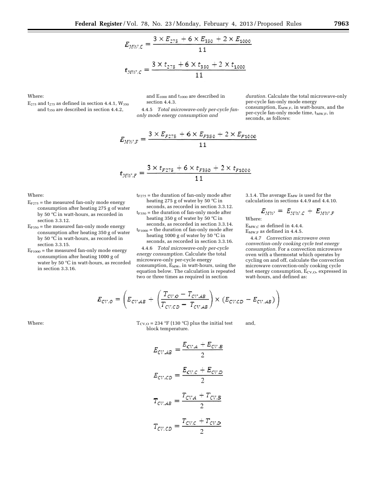$$
E_{MW,C} = \frac{3 \times E_{275} + 6 \times E_{350} + 2 \times E_{1000}}{11}
$$

$$
t_{MW,C} = \frac{3 \times t_{275} + 6 \times t_{350} + 2 \times t_{1000}}{11}
$$

Where:

 $E_{275}$  and  $t_{275}$  as defined in section 4.4.1,  $W_{350}$ and t350 are described in section 4.4.2,

and  $E_{1000}$  and  $t_{1000}$  are described in section 4.4.3.

4.4.5 *Total microwave-only per-cycle fanonly mode energy consumption and* 

*duration.* Calculate the total microwave-only per-cycle fan-only mode energy consumption,  $E_{MW,F}$ , in watt-hours, and the per-cycle fan-only mode time,  $t_{MW,F}$ , in seconds, as follows:

$$
E_{MWE} = \frac{3 \times E_{F275} + 6 \times E_{F350} + 2 \times E_{F1000}}{11}
$$

$$
t_{MW,F} = \frac{3 \times t_{F275} + 6 \times t_{F350} + 2 \times t_{F1000}}{11}
$$

Where:

- $E_{F275}$  = the measured fan-only mode energy consumption after heating 275 g of water by 50 °C in watt-hours, as recorded in section 3.3.12.
- $E_{F350}$  = the measured fan-only mode energy consumption after heating 350 g of water by 50 °C in watt-hours, as recorded in section 3.3.15.
- $E_{F1000}$  = the measured fan-only mode energy consumption after heating 1000 g of water by 50 °C in watt-hours, as recorded in section 3.3.16.

 $t_{F275}$  = the duration of fan-only mode after heating 275 g of water by 50 °C in

seconds, as recorded in section 3.3.12.  $t_{F350}$  = the duration of fan-only mode after heating 350 g of water by 50 °C in

seconds, as recorded in section 3.3.14.

 $t_{F1000}$  = the duration of fan-only mode after heating 1000 g of water by 50 °C in seconds, as recorded in section 3.3.16.

4.4.6 *Total microwave-only per-cycle energy consumption.* Calculate the total microwave-only per-cycle energy consumption,  $E_{MW}$ , in watt-hours, using the equation below. The calculation is repeated two or three times as required in section

3.1.4. The average  $E_{MW}$  is used for the calculations in sections 4.4.9 and 4.4.10.

$$
E_{MW} = E_{MW,C} + E_{MW,F}
$$

Where:

EMW,C as defined in 4.4.4.  $E_{MW,F}$  as defined in 4.4.5.

4.4.7 *Convection microwave oven convection-only cooking cycle test energy consumption.* For a convection microwave oven with a thermostat which operates by cycling on and off, calculate the convection microwave convection-only cooking cycle test energy consumption, Ecv,o, expressed in watt-hours, and defined as:

$$
E_{CV,O} = \left( E_{CV,AB} + \left( \frac{T_{CV,O} - T_{CV,AB}}{T_{CV,CD} - T_{CV,AB}} \right) \times \left( E_{CV,CD} - E_{CV,AB} \right) \right)
$$

Where:  $T_{\rm{CV},O} = 234 \text{ }^{\circ}F(130 \text{ }^{\circ}C)$  plus the initial test block temperature. and,

$$
E_{CV,AB} = \frac{E_{CV,A} + E_{CV,B}}{2}
$$

$$
E_{CV,CD} = \frac{E_{CV,C} + E_{CV,D}}{2}
$$

$$
T_{CV,AB} = \frac{T_{CV,A} + T_{CV,B}}{2}
$$

$$
T_{CV,CD} = \frac{T_{CV,C} + T_{CV,D}}{2}
$$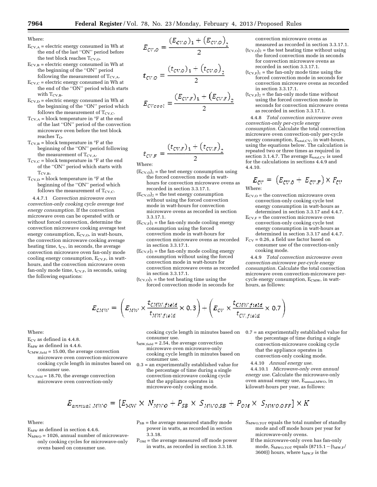Where:

- $E_{CV,A}$  = electric energy consumed in Wh at the end of the last ''ON'' period before the test block reaches  $T_{CV,O}$ .
- $E_{\text{CV,B}}$  = electric energy consumed in Wh at the beginning of the ''ON'' period following the measurement of  $T_{\text{CVA}}$ .
- $E_{\text{CV},\text{C}}$  = electric energy consumed in Wh at the end of the ''ON'' period which starts with  $T_{\rm CV,B}$ .
- $E_{\text{CV,D}}$  = electric energy consumed in Wh at the beginning of the ''ON'' period which follows the measurement of  $T_{\rm CV, C}$ .
- $T_{\text{CV,A}}$  = block temperature in  ${}^{\circ}$ F at the end of the last ''ON'' period of the convection microwave oven before the test block reaches  $T_{\Omega}$ .
- $T_{CV,B}$  = block temperature in  $\degree$ F at the beginning of the ''ON'' period following the measurement of  $T_{\rm CV,A}$ .
- $T_{\text{CV},C}$  = block temperature in  ${}^{\circ}$ F at the end of the ''ON'' period which starts with  $T_{CV,B}.$
- $T_{\text{CVD}}$  = block temperature in  ${}^{\circ}$ F at the beginning of the ''ON'' period which follows the measurement of  $T_{\rm CV,C}$ .

4.4.7.1 *Convection microwave oven convection-only cooking cycle average test energy consumption.* If the convection microwave oven can be operated with or without forced convection, determine the convection microwave cooking average test energy consumption, E<sub>CV,O</sub>, in watt-hours, the convection microwave cooking average heating time,  $t_{CV}$ , in seconds, the average convection microwave oven fan-only mode cooling energy consumption,  $E_{\text{CV},F}$ , in watthours, and the convection microwave oven fan-only mode time,  $t_{CV,F}$ , in seconds, using the following equations:

$$
E_{CV,O} = \frac{(E_{CV,O})_1 + (E_{CV,O})_2}{2}
$$

$$
t_{CV,O} = \frac{(t_{CV,O})_1 + (t_{CV,O})_2}{2}
$$

$$
E_{CV\text{cool}} = \frac{(E_{CV,F})_1 + (E_{CV,F})_2}{2}
$$

$$
t_{CV,F} = \frac{(t_{CV,F})_1 + (t_{CV,F})_2}{2}
$$

Where:

- $(E_{\text{CV,O}})_1$  = the test energy consumption using the forced convection mode in watthours for convection microwave ovens as recorded in section 3.3.17.1.
- $(E_{\rm{CV,O}})_2$  = the test energy consumption without using the forced convection mode in watt-hours for convection microwave ovens as recorded in section 3.3.17.1.
- $(E_{CV,F})_1$  = the fan-only mode cooling energy consumption using the forced convection mode in watt-hours for convection microwave ovens as recorded in section 3.3.17.1.
- $(E_{CV,F})_2$  = the fan-only mode cooling energy consumption without using the forced convection mode in watt-hours for convection microwave ovens as recorded in section 3.3.17.1.
- $(t_{\rm CV,O})_1$  = the test heating time using the forced convection mode in seconds for

convection microwave ovens as measured as recorded in section 3.3.17.1.

- $(t<sub>CV,O</sub>)<sub>2</sub>$  = the test heating time without using the forced convection mode in seconds for convection microwave ovens as recorded in section 3.3.17.1.
- $(t_{CV,F})_1$  = the fan-only mode time using the forced convection mode in seconds for convection microwave ovens as recorded in section 3.3.17.1.
- $(t_{CV,F})_2$  = the fan-only mode time without using the forced convection mode in seconds for convection microwave ovens as recorded in section 3.3.17.1.

4.4.8 *Total convection microwave oven convection-only per-cycle energy consumption.* Calculate the total convection microwave oven convection-only per-cycle energy consumption, E<sub>total,CV</sub>, in watt-hours, using the equations below. The calculation is repeated two or three times as required in section 3.1.4.7. The average  $E_{total,CV}$  is used for the calculations in sections 4.4.9 and 4.4.10.

$$
E_{CV} = (E_{CV,O} + E_{CV,F}) \times F_{CV}
$$

Where:

- $E_{\text{CV,O}}$  = the convection microwave oven convection-only cooking cycle test energy consumption in watt-hours as determined in section 3.3.17 and 4.4.7.
- $E_{\text{CV,F}}$  = the convection microwave oven convection-only cooking cycle test energy consumption in watt-hours as determined in section 3.3.17 and 4.4.7.
- $F_{CV}$  = 0.26, a field use factor based on consumer use of the convection-only cooking mode.

4.4.9 *Total convection microwave oven convection-microwave per-cycle energy consumption.* Calculate the total convection microwave oven convection-microwave per $cycle$  energy consumption,  $E_{CMW}$ , in watthours, as follows:

$$
E_{CMW} = \left( E_{MW} \times \frac{t_{CMW,field}}{t_{MW,field}} \times 0.3 \right) + \left( E_{CV} \times \frac{t_{CMW,field}}{t_{CV,field}} \times 0.7 \right)
$$

#### Where:

 $E_{\rm CV}$  as defined in 4.4.8.

- EMW as defined in 4.4.6.
- $t_{CMW,field} = 15.00$ , the average convection microwave oven convection-microwave cooking cycle length in minutes based on
- consumer use.  $t_{CV,field}$  = 18.70, the average convection microwave oven convection-only

consumer use.

- $t_{MW,field} = 2.54$ , the average convection microwave oven microwave-only cooking cycle length in minutes based on consumer use.
- 0.3 = an experimentally established value for the percentage of time during a single convection-microwave cooking cycle that the appliance operates in microwave-only cooking mode.
- cooking cycle length in minutes based on 0.7 = an experimentally established value for the percentage of time during a single convection-microwave cooking cycle that the appliance operates in convection-only cooking mode.

4.4.10 *Annual energy use.* 

4.4.10.1 *Microwave-only oven annual energy use.* Calculate the microwave-only oven annual energy use, Eannual,MWO, in kilowatt-hours per year, as follows:

$$
E_{annual\,MWO} = [E_{MW} \times N_{MWO} + P_{SB} \times S_{MWO, SB} + P_{OM} \times S_{MWO,OFF}] \times K
$$

Where:

- $E_{MW}$  as defined in section 4.4.6.
- $N_{MWO} = 1026$ , annual number of microwaveonly cooking cycles for microwave-only ovens based on consumer use.
- $P_{SB}$  = the average measured standby mode power in watts, as recorded in section 3.3.18.
- $P_{OM}$  = the average measured off mode power in watts, as recorded in section 3.3.18.
- S<sub>MWO,TOT</sub> equals the total number of standby mode and off mode hours per year for microwave-only ovens.
	- If the microwave-only oven has fan-only mode,  $S_{\text{MWO,TOT}}$  equals  $(8715.1 - (t_{\text{MW,F}}/$ 3600)) hours, where  $t_{MW,F}$  is the